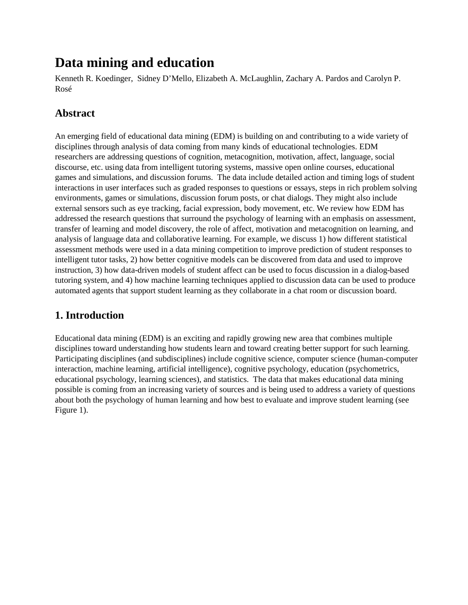# **Data mining and education**

Kenneth R. Koedinger, Sidney D'Mello, Elizabeth A. McLaughlin, Zachary A. Pardos and Carolyn P. Rosé

## **Abstract**

An emerging field of educational data mining (EDM) is building on and contributing to a wide variety of disciplines through analysis of data coming from many kinds of educational technologies. EDM researchers are addressing questions of cognition, metacognition, motivation, affect, language, social discourse, etc. using data from intelligent tutoring systems, massive open online courses, educational games and simulations, and discussion forums. The data include detailed action and timing logs of student interactions in user interfaces such as graded responses to questions or essays, steps in rich problem solving environments, games or simulations, discussion forum posts, or chat dialogs. They might also include external sensors such as eye tracking, facial expression, body movement, etc. We review how EDM has addressed the research questions that surround the psychology of learning with an emphasis on assessment, transfer of learning and model discovery, the role of affect, motivation and metacognition on learning, and analysis of language data and collaborative learning. For example, we discuss 1) how different statistical assessment methods were used in a data mining competition to improve prediction of student responses to intelligent tutor tasks, 2) how better cognitive models can be discovered from data and used to improve instruction, 3) how data-driven models of student affect can be used to focus discussion in a dialog-based tutoring system, and 4) how machine learning techniques applied to discussion data can be used to produce automated agents that support student learning as they collaborate in a chat room or discussion board.

## **1. Introduction**

Educational data mining (EDM) is an exciting and rapidly growing new area that combines multiple disciplines toward understanding how students learn and toward creating better support for such learning. Participating disciplines (and subdisciplines) include cognitive science, computer science (human-computer interaction, machine learning, artificial intelligence), cognitive psychology, education (psychometrics, educational psychology, learning sciences), and statistics. The data that makes educational data mining possible is coming from an increasing variety of sources and is being used to address a variety of questions about both the psychology of human learning and how best to evaluate and improve student learning (see Figure 1).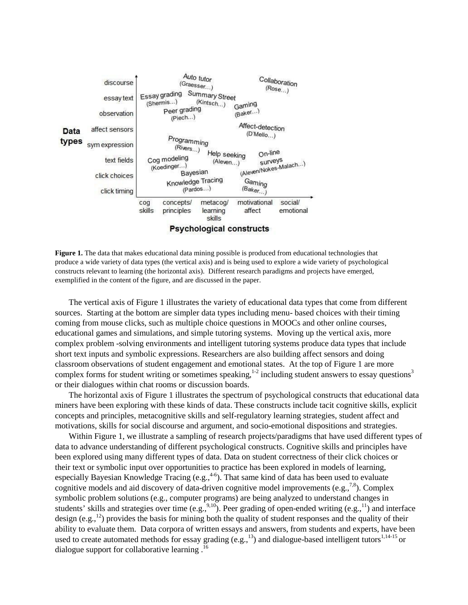

**Figure 1.** The data that makes educational data mining possible is produced from educational technologies that produce a wide variety of data types (the vertical axis) and is being used to explore a wide variety of psychological constructs relevant to learning (the horizontal axis). Different research paradigms and projects have emerged, exemplified in the content of the figure, and are discussed in the paper.

The vertical axis of Figure 1 illustrates the variety of educational data types that come from different sources. Starting at the bottom are simpler data types including menu- based choices with their timing coming from mouse clicks, such as multiple choice questions in MOOCs and other online courses, educational games and simulations, and simple tutoring systems. Moving up the vertical axis, more complex problem -solving environments and intelligent tutoring systems produce data types that include short text inputs and symbolic expressions. Researchers are also building affect sensors and doing classroom observations of student engagement and emotional states. At the top of Figure 1 are more complex forms for student writing or sometimes speaking, $1-2$  including student answers to essay questions<sup>3</sup> or their dialogues within chat rooms or discussion boards.

The horizontal axis of Figure 1 illustrates the spectrum of psychological constructs that educational data miners have been exploring with these kinds of data. These constructs include tacit cognitive skills, explicit concepts and principles, metacognitive skills and self-regulatory learning strategies, student affect and motivations, skills for social discourse and argument, and socio-emotional dispositions and strategies.

Within Figure 1, we illustrate a sampling of research projects/paradigms that have used different types of data to advance understanding of different psychological constructs. Cognitive skills and principles have been explored using many different types of data. Data on student correctness of their click choices or their text or symbolic input over opportunities to practice has been explored in models of learning, especially Bayesian Knowledge Tracing (e.g., $4-6$ ). That same kind of data has been used to evaluate cognitive models and aid discovery of data-driven cognitive model improvements (e.g.,  $7.8$ ). Complex symbolic problem solutions (e.g., computer programs) are being analyzed to understand changes in students' skills and strategies over time (e.g., $9,10$ ). Peer grading of open-ended writing (e.g.,  $11$ ) and interface design (e.g.,<sup>12</sup>) provides the basis for mining both the quality of student responses and the quality of their ability to evaluate them. Data corpora of written essays and answers, from students and experts, have been used to create automated methods for essay grading (e.g.,<sup>13</sup>) and dialogue-based intelligent tutors<sup>1,14-15</sup> or dialogue support for collaborative learning .16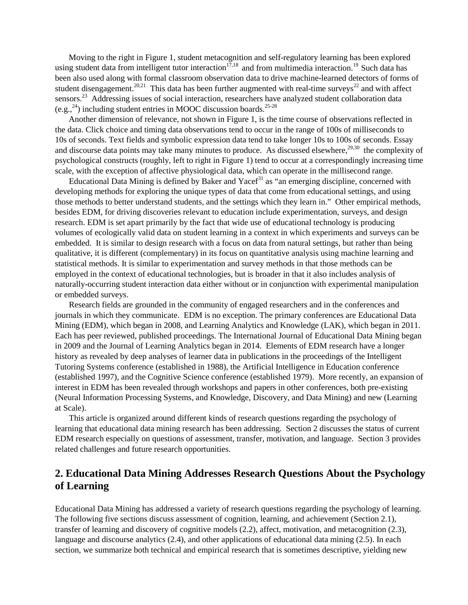Moving to the right in Figure 1, student metacognition and self-regulatory learning has been explored using student data from intelligent tutor interaction<sup>17,18</sup> and from multimedia interaction.<sup>19</sup> Such data has been also used along with formal classroom observation data to drive machine-learned detectors of forms of student disengagement.<sup>20,21</sup> This data has been further augmented with real-time surveys<sup>22</sup> and with affect sensors.<sup>23</sup> Addressing issues of social interaction, researchers have analyzed student collaboration data (e.g., $^{24}$ ) including student entries in MOOC discussion boards.<sup>25-28</sup>

Another dimension of relevance, not shown in Figure 1, is the time course of observations reflected in the data. Click choice and timing data observations tend to occur in the range of 100s of milliseconds to 10s of seconds. Text fields and symbolic expression data tend to take longer 10s to 100s of seconds. Essay and discourse data points may take many minutes to produce. As discussed elsewhere,<sup>29,30</sup> the complexity of psychological constructs (roughly, left to right in Figure 1) tend to occur at a correspondingly increasing time scale, with the exception of affective physiological data, which can operate in the millisecond range.

Educational Data Mining is defined by Baker and Yace $f<sup>31</sup>$  as "an emerging discipline, concerned with developing methods for exploring the unique types of data that come from educational settings, and using those methods to better understand students, and the settings which they learn in." Other empirical methods, besides EDM, for driving discoveries relevant to education include experimentation, surveys, and design research. EDM is set apart primarily by the fact that wide use of educational technology is producing volumes of ecologically valid data on student learning in a context in which experiments and surveys can be embedded. It is similar to design research with a focus on data from natural settings, but rather than being qualitative, it is different (complementary) in its focus on quantitative analysis using machine learning and statistical methods. It is similar to experimentation and survey methods in that those methods can be employed in the context of educational technologies, but is broader in that it also includes analysis of naturally-occurring student interaction data either without or in conjunction with experimental manipulation or embedded surveys.

Research fields are grounded in the community of engaged researchers and in the conferences and journals in which they communicate. EDM is no exception. The primary conferences are Educational Data Mining (EDM), which began in 2008, and Learning Analytics and Knowledge (LAK), which began in 2011. Each has peer reviewed, published proceedings. The International Journal of Educational Data Mining began in 2009 and the Journal of Learning Analytics began in 2014. Elements of EDM research have a longer history as revealed by deep analyses of learner data in publications in the proceedings of the Intelligent Tutoring Systems conference (established in 1988), the Artificial Intelligence in Education conference (established 1997), and the Cognitive Science conference (established 1979). More recently, an expansion of interest in EDM has been revealed through workshops and papers in other conferences, both pre-existing (Neural Information Processing Systems, and Knowledge, Discovery, and Data Mining) and new (Learning at Scale).

This article is organized around different kinds of research questions regarding the psychology of learning that educational data mining research has been addressing. Section 2 discusses the status of current EDM research especially on questions of assessment, transfer, motivation, and language. Section 3 provides related challenges and future research opportunities.

## **2. Educational Data Mining Addresses Research Questions About the Psychology of Learning**

Educational Data Mining has addressed a variety of research questions regarding the psychology of learning. The following five sections discuss assessment of cognition, learning, and achievement (Section 2.1), transfer of learning and discovery of cognitive models (2.2), affect, motivation, and metacognition (2.3), language and discourse analytics (2.4), and other applications of educational data mining (2.5). In each section, we summarize both technical and empirical research that is sometimes descriptive, yielding new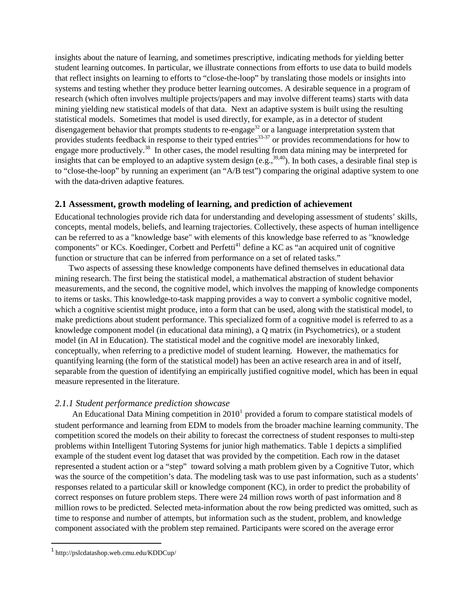insights about the nature of learning, and sometimes prescriptive, indicating methods for yielding better student learning outcomes. In particular, we illustrate connections from efforts to use data to build models that reflect insights on learning to efforts to "close-the-loop" by translating those models or insights into systems and testing whether they produce better learning outcomes. A desirable sequence in a program of research (which often involves multiple projects/papers and may involve different teams) starts with data mining yielding new statistical models of that data. Next an adaptive system is built using the resulting statistical models. Sometimes that model is used directly, for example, as in a detector of student disengagement behavior that prompts students to re-engage<sup>32</sup> or a language interpretation system that provides students feedback in response to their typed entries<sup>33-37</sup> or provides recommendations for how to engage more productively.<sup>38</sup> In other cases, the model resulting from data mining may be interpreted for insights that can be employed to an adaptive system design  $(e.g.,<sup>39,40</sup>)$ . In both cases, a desirable final step is to "close-the-loop" by running an experiment (an "A/B test") comparing the original adaptive system to one with the data-driven adaptive features.

#### **2.1 Assessment, growth modeling of learning, and prediction of achievement**

Educational technologies provide rich data for understanding and developing assessment of students' skills, concepts, mental models, beliefs, and learning trajectories. Collectively, these aspects of human intelligence can be referred to as a "knowledge base" with elements of this knowledge base referred to as "knowledge components" or KCs. Koedinger, Corbett and Perfetti<sup>41</sup> define a KC as "an acquired unit of cognitive function or structure that can be inferred from performance on a set of related tasks."

Two aspects of assessing these knowledge components have defined themselves in educational data mining research. The first being the statistical model, a mathematical abstraction of student behavior measurements, and the second, the cognitive model, which involves the mapping of knowledge components to items or tasks. This knowledge-to-task mapping provides a way to convert a symbolic cognitive model, which a cognitive scientist might produce, into a form that can be used, along with the statistical model, to make predictions about student performance. This specialized form of a cognitive model is referred to as a knowledge component model (in educational data mining), a Q matrix (in Psychometrics), or a student model (in AI in Education). The statistical model and the cognitive model are inexorably linked, conceptually, when referring to a predictive model of student learning. However, the mathematics for quantifying learning (the form of the statistical model) has been an active research area in and of itself, separable from the question of identifying an empirically justified cognitive model, which has been in equal measure represented in the literature.

#### *2.1.1 Student performance prediction showcase*

An Educational Data Mining competition in  $2010<sup>1</sup>$  $2010<sup>1</sup>$  $2010<sup>1</sup>$  provided a forum to compare statistical models of student performance and learning from EDM to models from the broader machine learning community. The competition scored the models on their ability to forecast the correctness of student responses to multi-step problems within Intelligent Tutoring Systems for junior high mathematics. Table 1 depicts a simplified example of the student event log dataset that was provided by the competition. Each row in the dataset represented a student action or a "step" toward solving a math problem given by a Cognitive Tutor, which was the source of the competition's data. The modeling task was to use past information, such as a students' responses related to a particular skill or knowledge component (KC), in order to predict the probability of correct responses on future problem steps. There were 24 million rows worth of past information and 8 million rows to be predicted. Selected meta-information about the row being predicted was omitted, such as time to response and number of attempts, but information such as the student, problem, and knowledge component associated with the problem step remained. Participants were scored on the average error

<span id="page-3-0"></span> <sup>1</sup> <http://pslcdatashop.web.cmu.edu/KDDCup/>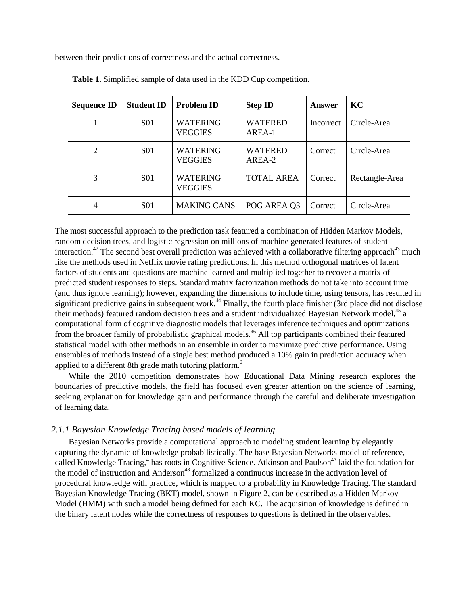between their predictions of correctness and the actual correctness.

| <b>Sequence ID</b> | <b>Student ID</b> | <b>Problem ID</b>                 | <b>Step ID</b>                        | Answer  | KC             |  |  |
|--------------------|-------------------|-----------------------------------|---------------------------------------|---------|----------------|--|--|
|                    | <b>S</b> 01       | <b>WATERING</b><br><b>VEGGIES</b> | <b>WATERED</b><br>Incorrect<br>AREA-1 |         | Circle-Area    |  |  |
| $\overline{2}$     | <b>S</b> 01       | <b>WATERING</b><br><b>VEGGIES</b> | <b>WATERED</b><br>AREA-2              | Correct | Circle-Area    |  |  |
| 3                  | <b>S01</b>        | <b>WATERING</b><br><b>VEGGIES</b> | <b>TOTAL AREA</b>                     | Correct | Rectangle-Area |  |  |
| 4                  | <b>S01</b>        | <b>MAKING CANS</b>                | POG AREA Q3                           | Correct | Circle-Area    |  |  |

**Table 1.** Simplified sample of data used in the KDD Cup competition.

The most successful approach to the prediction task featured a combination of Hidden Markov Models, random decision trees, and logistic regression on millions of machine generated features of student interaction.<sup>42</sup> The second best overall prediction was achieved with a collaborative filtering approach<sup>43</sup> much like the methods used in Netflix movie rating predictions. In this method orthogonal matrices of latent factors of students and questions are machine learned and multiplied together to recover a matrix of predicted student responses to steps. Standard matrix factorization methods do not take into account time (and thus ignore learning); however, expanding the dimensions to include time, using tensors, has resulted in significant predictive gains in subsequent work.<sup>44</sup> Finally, the fourth place finisher (3rd place did not disclose their methods) featured random decision trees and a student individualized Bayesian Network model,<sup>45</sup> a computational form of cognitive diagnostic models that leverages inference techniques and optimizations from the broader family of probabilistic graphical models.<sup>46</sup> All top participants combined their featured statistical model with other methods in an ensemble in order to maximize predictive performance. Using ensembles of methods instead of a single best method produced a 10% gain in prediction accuracy when applied to a different 8th grade math tutoring platform.<sup>6</sup>

While the 2010 competition demonstrates how Educational Data Mining research explores the boundaries of predictive models, the field has focused even greater attention on the science of learning, seeking explanation for knowledge gain and performance through the careful and deliberate investigation of learning data.

#### *2.1.1 Bayesian Knowledge Tracing based models of learning*

Bayesian Networks provide a computational approach to modeling student learning by elegantly capturing the dynamic of knowledge probabilistically. The base Bayesian Networks model of reference, called Knowledge Tracing,<sup>4</sup> has roots in Cognitive Science. Atkinson and Paulson<sup>47</sup> laid the foundation for the model of instruction and Anderson<sup>48</sup> formalized a continuous increase in the activation level of procedural knowledge with practice, which is mapped to a probability in Knowledge Tracing. The standard Bayesian Knowledge Tracing (BKT) model, shown in Figure 2, can be described as a Hidden Markov Model (HMM) with such a model being defined for each KC. The acquisition of knowledge is defined in the binary latent nodes while the correctness of responses to questions is defined in the observables.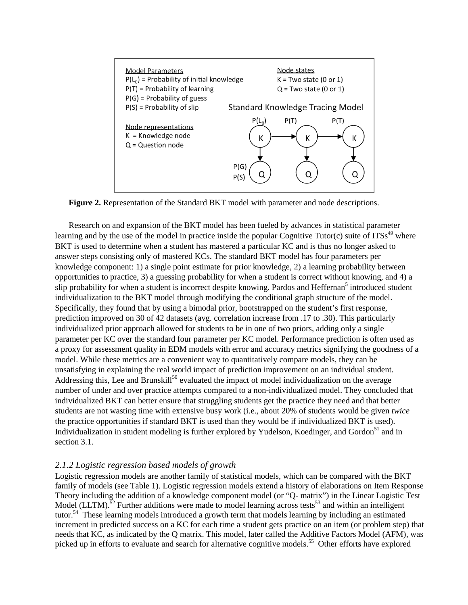

**Figure 2.** Representation of the Standard BKT model with parameter and node descriptions.

Research on and expansion of the BKT model has been fueled by advances in statistical parameter learning and by the use of the model in practice inside the popular Cognitive Tutor(c) suite of  $ITSS<sup>49</sup>$  where BKT is used to determine when a student has mastered a particular KC and is thus no longer asked to answer steps consisting only of mastered KCs. The standard BKT model has four parameters per knowledge component: 1) a single point estimate for prior knowledge, 2) a learning probability between opportunities to practice, 3) a guessing probability for when a student is correct without knowing, and 4) a slip probability for when a student is incorrect despite knowing. Pardos and Heffernan<sup>5</sup> introduced student individualization to the BKT model through modifying the conditional graph structure of the model. Specifically, they found that by using a bimodal prior, bootstrapped on the student's first response, prediction improved on 30 of 42 datasets (avg. correlation increase from .17 to .30). This particularly individualized prior approach allowed for students to be in one of two priors, adding only a single parameter per KC over the standard four parameter per KC model. Performance prediction is often used as a proxy for assessment quality in EDM models with error and accuracy metrics signifying the goodness of a model. While these metrics are a convenient way to quantitatively compare models, they can be unsatisfying in explaining the real world impact of prediction improvement on an individual student. Addressing this, Lee and Brunskill<sup>50</sup> evaluated the impact of model individualization on the average number of under and over practice attempts compared to a non-individualized model. They concluded that individualized BKT can better ensure that struggling students get the practice they need and that better students are not wasting time with extensive busy work (i.e., about 20% of students would be given *twice* the practice opportunities if standard BKT is used than they would be if individualized BKT is used). Individualization in student modeling is further explored by Yudelson, Koedinger, and Gordon<sup>51</sup> and in section 3.1.

#### *2.1.2 Logistic regression based models of growth*

Logistic regression models are another family of statistical models, which can be compared with the BKT family of models (see Table 1). Logistic regression models extend a history of elaborations on Item Response Theory including the addition of a knowledge component model (or "Q- matrix") in the Linear Logistic Test Model (LLTM).<sup>52</sup> Further additions were made to model learning across tests<sup>53</sup> and within an intelligent tutor.<sup>54</sup> These learning models introduced a growth term that models learning by including an estimated increment in predicted success on a KC for each time a student gets practice on an item (or problem step) that needs that KC, as indicated by the Q matrix. This model, later called the Additive Factors Model (AFM), was picked up in efforts to evaluate and search for alternative cognitive models.<sup>55</sup> Other efforts have explored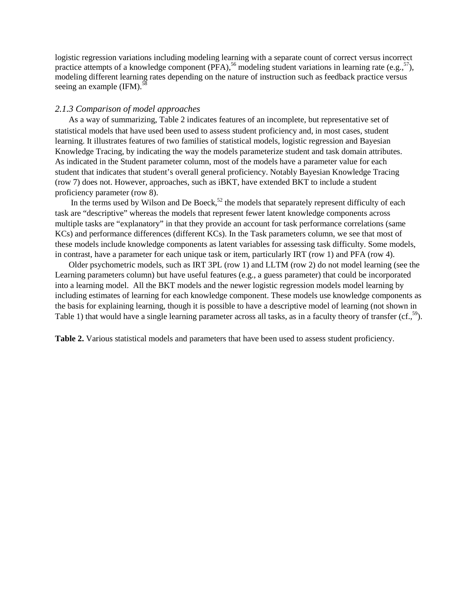logistic regression variations including modeling learning with a separate count of correct versus incorrect practice attempts of a knowledge component (PFA),<sup>56</sup> modeling student variations in learning rate (e.g.,<sup>57</sup>), modeling different learning rates depending on the nature of instruction such as feedback practice versus seeing an example  $(IFM)$ .<sup>58</sup>

#### *2.1.3 Comparison of model approaches*

As a way of summarizing, Table 2 indicates features of an incomplete, but representative set of statistical models that have used been used to assess student proficiency and, in most cases, student learning. It illustrates features of two families of statistical models, logistic regression and Bayesian Knowledge Tracing, by indicating the way the models parameterize student and task domain attributes. As indicated in the Student parameter column, most of the models have a parameter value for each student that indicates that student's overall general proficiency. Notably Bayesian Knowledge Tracing (row 7) does not. However, approaches, such as iBKT, have extended BKT to include a student proficiency parameter (row 8).

In the terms used by Wilson and De Boeck,<sup>52</sup> the models that separately represent difficulty of each task are "descriptive" whereas the models that represent fewer latent knowledge components across multiple tasks are "explanatory" in that they provide an account for task performance correlations (same KCs) and performance differences (different KCs). In the Task parameters column, we see that most of these models include knowledge components as latent variables for assessing task difficulty. Some models, in contrast, have a parameter for each unique task or item, particularly IRT (row 1) and PFA (row 4).

Older psychometric models, such as IRT 3PL (row 1) and LLTM (row 2) do not model learning (see the Learning parameters column) but have useful features (e.g., a guess parameter) that could be incorporated into a learning model. All the BKT models and the newer logistic regression models model learning by including estimates of learning for each knowledge component. These models use knowledge components as the basis for explaining learning, though it is possible to have a descriptive model of learning (not shown in Table 1) that would have a single learning parameter across all tasks, as in a faculty theory of transfer (cf.,<sup>59</sup>).

**Table 2.** Various statistical models and parameters that have been used to assess student proficiency.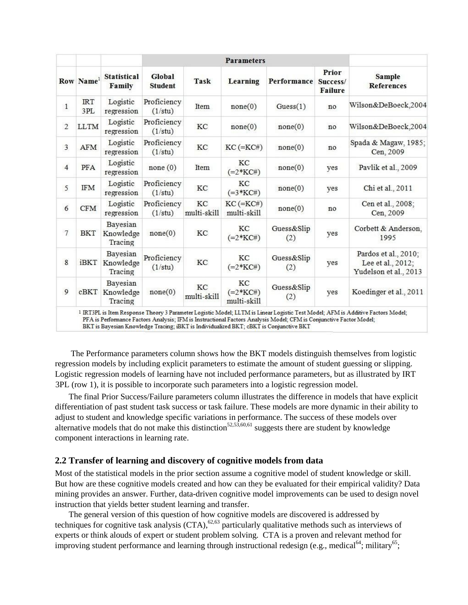|                |                       |                                  | <b>Parameters</b>               |                   |                                 |                   |                                     |                                                                    |  |
|----------------|-----------------------|----------------------------------|---------------------------------|-------------------|---------------------------------|-------------------|-------------------------------------|--------------------------------------------------------------------|--|
|                | Row Name <sup>1</sup> | <b>Statistical</b><br>Family     | Global<br><b>Student</b>        | Task              | Learning                        | Performance       | Prior<br>Success/<br><b>Failure</b> | <b>Sample</b><br><b>References</b>                                 |  |
| $\mathbf{1}$   | <b>IRT</b><br>3PL     | Logistic<br>regression           | Proficiency<br>$(1/\text{stu})$ | Item              | none(0)                         | Guess(1)          | no                                  | Wilson&DeBoeck,2004                                                |  |
| $\overline{2}$ | <b>LLTM</b>           | Logistic<br>regression           | Proficiency<br>$(1/\text{stu})$ | KC                | none(0)                         | none(0)           | no                                  | Wilson&DeBoeck,2004                                                |  |
| 3              | AFM                   | Logistic<br>regression           | Proficiency<br>$(1/\text{stu})$ | KC                | $KC (= KC#)$                    | none(0)           | no                                  | Spada & Magaw, 1985;<br>Cen. 2009                                  |  |
| $\overline{4}$ | PFA                   | Logistic<br>regression           | none(0)                         | Item              | КC<br>$(=2*KC#)$                | none(0)           | yes                                 | Pavlik et al., 2009                                                |  |
| 5              | <b>IFM</b>            | Logistic<br>regression           | Proficiency<br>$(1/\text{stu})$ | KC                | KC<br>$(=3*KC#)$                | none(0)           | yes                                 | Chi et al., 2011                                                   |  |
| $\epsilon$     | CFM                   | Logistic<br>regression           | Proficiency<br>$(1/\text{stu})$ | KC<br>multi-skill | $KC (= KC#)$<br>multi-skill     | none(0)           | no                                  | Cen et al., 2008;<br>Cen. 2009                                     |  |
| $\overline{7}$ | <b>BKT</b>            | Bayesian<br>Knowledge<br>Tracing | none(0)                         | KC                | КC<br>$(=2*KC#)$                | Guess&Slip<br>(2) | yes                                 | Corbett & Anderson.<br>1995                                        |  |
| 8              | iBKT                  | Bayesian<br>Knowledge<br>Tracing | Proficiency<br>$(1/\text{stu})$ | KC                | KC<br>$(=2*KC#)$                | Guess&Slip<br>(2) | yes                                 | Pardos et al., 2010;<br>Lee et al., 2012;<br>Yudelson et al., 2013 |  |
| 9              | cBKT                  | Bayesian<br>Knowledge<br>Tracing | none(0)                         | KC<br>multi-skill | KС<br>$(=2*KC#)$<br>multi-skill | Guess&Slip<br>(2) | yes                                 | Koedinger et al., 2011                                             |  |

BKT is Bayesian Knowledge Tracing; iBKT is Individualized BKT; cBKT is Conjunctive BKT

The Performance parameters column shows how the BKT models distinguish themselves from logistic regression models by including explicit parameters to estimate the amount of student guessing or slipping. Logistic regression models of learning have not included performance parameters, but as illustrated by IRT 3PL (row 1), it is possible to incorporate such parameters into a logistic regression model.

The final Prior Success/Failure parameters column illustrates the difference in models that have explicit differentiation of past student task success or task failure. These models are more dynamic in their ability to adjust to student and knowledge specific variations in performance. The success of these models over alternative models that do not make this distinction<sup>52,53,60,61</sup> suggests there are student by knowledge component interactions in learning rate.

## **2.2 Transfer of learning and discovery of cognitive models from data**

Most of the statistical models in the prior section assume a cognitive model of student knowledge or skill. But how are these cognitive models created and how can they be evaluated for their empirical validity? Data mining provides an answer. Further, data-driven cognitive model improvements can be used to design novel instruction that yields better student learning and transfer.

The general version of this question of how cognitive models are discovered is addressed by techniques for cognitive task analysis  $(CTA)$ ,<sup>62,63</sup> particularly qualitative methods such as interviews of experts or think alouds of expert or student problem solving. CTA is a proven and relevant method for improving student performance and learning through instructional redesign (e.g., medical<sup>64</sup>; military<sup>65</sup>;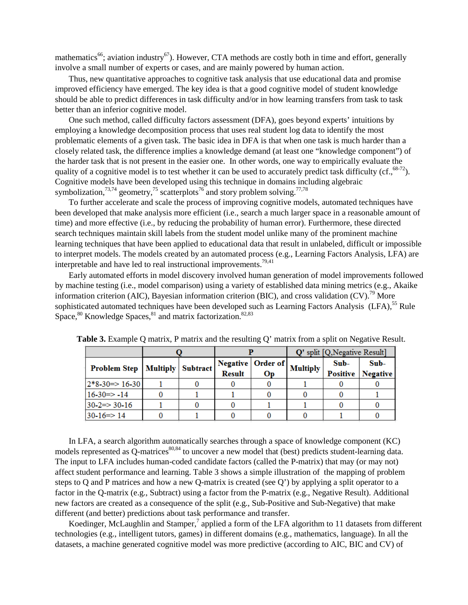mathematics<sup>66</sup>; aviation industry<sup>67</sup>). However, CTA methods are costly both in time and effort, generally involve a small number of experts or cases, and are mainly powered by human action.

Thus, new quantitative approaches to cognitive task analysis that use educational data and promise improved efficiency have emerged. The key idea is that a good cognitive model of student knowledge should be able to predict differences in task difficulty and/or in how learning transfers from task to task better than an inferior cognitive model.

One such method, called difficulty factors assessment (DFA), goes beyond experts' intuitions by employing a knowledge decomposition process that uses real student log data to identify the most problematic elements of a given task. The basic idea in DFA is that when one task is much harder than a closely related task, the difference implies a knowledge demand (at least one "knowledge component") of the harder task that is not present in the easier one. In other words, one way to empirically evaluate the quality of a cognitive model is to test whether it can be used to accurately predict task difficulty (cf., 68-72). Cognitive models have been developed using this technique in domains including algebraic symbolization,<sup>73,74</sup> geometry,<sup>75</sup> scatterplots<sup>76</sup> and story problem solving.<sup>77,78</sup>

To further accelerate and scale the process of improving cognitive models, automated techniques have been developed that make analysis more efficient (i.e., search a much larger space in a reasonable amount of time) and more effective (i.e., by reducing the probability of human error). Furthermore, these directed search techniques maintain skill labels from the student model unlike many of the prominent machine learning techniques that have been applied to educational data that result in unlabeled, difficult or impossible to interpret models. The models created by an automated process (e.g., Learning Factors Analysis, LFA) are interpretable and have led to real instructional improvements.<sup>79,41</sup>

Early automated efforts in model discovery involved human generation of model improvements followed by machine testing (i.e., model comparison) using a variety of established data mining metrics (e.g., Akaike information criterion (AIC), Bayesian information criterion (BIC), and cross validation (CV).<sup>79</sup> More sophisticated automated techniques have been developed such as Learning Factors Analysis (LFA),<sup>55</sup> Rule Space,<sup>80</sup> Knowledge Spaces,<sup>81</sup> and matrix factorization.<sup>82,83</sup>

|                                           |  |  |                                  |                | Q' split [Q, Negative Result] |                           |                         |
|-------------------------------------------|--|--|----------------------------------|----------------|-------------------------------|---------------------------|-------------------------|
| <b>Problem Step   Multiply   Subtract</b> |  |  | <b>Negative</b><br><b>Result</b> | Order of<br>Op | <b>Multiply</b>               | $Sub-$<br><b>Positive</b> | Sub-<br><b>Negative</b> |
| $2*8-30 \Rightarrow 16-30$                |  |  |                                  |                |                               |                           |                         |
| $16-30 \Rightarrow -14$                   |  |  |                                  |                |                               |                           |                         |
| $30-2 \Rightarrow 30-16$                  |  |  |                                  |                |                               |                           |                         |
| $30-16 \Rightarrow 14$                    |  |  |                                  |                |                               |                           |                         |

**Table 3.** Example O matrix, P matrix and the resulting O' matrix from a split on Negative Result.

In LFA, a search algorithm automatically searches through a space of knowledge component (KC) models represented as Q-matrices<sup>80,84</sup> to uncover a new model that (best) predicts student-learning data. The input to LFA includes human-coded candidate factors (called the P-matrix) that may (or may not) affect student performance and learning. Table 3 shows a simple illustration of the mapping of problem steps to Q and P matrices and how a new Q-matrix is created (see Q') by applying a split operator to a factor in the Q-matrix (e.g., Subtract) using a factor from the P-matrix (e.g., Negative Result). Additional new factors are created as a consequence of the split (e.g., Sub-Positive and Sub-Negative) that make different (and better) predictions about task performance and transfer.

Koedinger, McLaughlin and Stamper,<sup>7</sup> applied a form of the LFA algorithm to 11 datasets from different technologies (e.g., intelligent tutors, games) in different domains (e.g., mathematics, language). In all the datasets, a machine generated cognitive model was more predictive (according to AIC, BIC and CV) of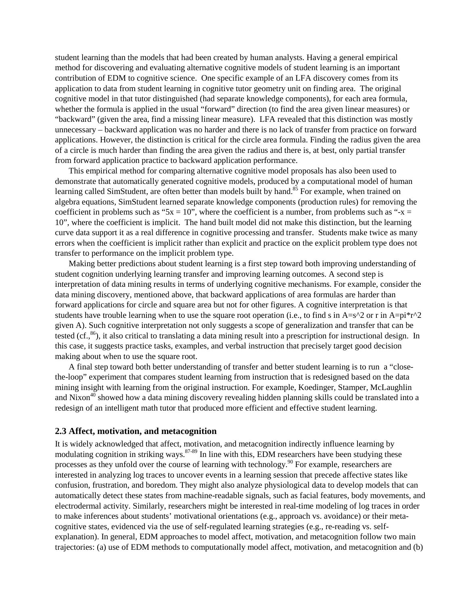student learning than the models that had been created by human analysts. Having a general empirical method for discovering and evaluating alternative cognitive models of student learning is an important contribution of EDM to cognitive science. One specific example of an LFA discovery comes from its application to data from student learning in cognitive tutor geometry unit on finding area. The original cognitive model in that tutor distinguished (had separate knowledge components), for each area formula, whether the formula is applied in the usual "forward" direction (to find the area given linear measures) or "backward" (given the area, find a missing linear measure). LFA revealed that this distinction was mostly unnecessary – backward application was no harder and there is no lack of transfer from practice on forward applications. However, the distinction is critical for the circle area formula. Finding the radius given the area of a circle is much harder than finding the area given the radius and there is, at best, only partial transfer from forward application practice to backward application performance.

This empirical method for comparing alternative cognitive model proposals has also been used to demonstrate that automatically generated cognitive models, produced by a computational model of human learning called SimStudent, are often better than models built by hand.<sup>85</sup> For example, when trained on algebra equations, SimStudent learned separate knowledge components (production rules) for removing the coefficient in problems such as "5x = 10", where the coefficient is a number, from problems such as "-x = 10", where the coefficient is implicit. The hand built model did not make this distinction, but the learning curve data support it as a real difference in cognitive processing and transfer. Students make twice as many errors when the coefficient is implicit rather than explicit and practice on the explicit problem type does not transfer to performance on the implicit problem type.

Making better predictions about student learning is a first step toward both improving understanding of student cognition underlying learning transfer and improving learning outcomes. A second step is interpretation of data mining results in terms of underlying cognitive mechanisms. For example, consider the data mining discovery, mentioned above, that backward applications of area formulas are harder than forward applications for circle and square area but not for other figures. A cognitive interpretation is that students have trouble learning when to use the square root operation (i.e., to find s in A=s^2 or r in A=pi\*r^2 given A). Such cognitive interpretation not only suggests a scope of generalization and transfer that can be tested  $(cf, <sup>86</sup>)$ , it also critical to translating a data mining result into a prescription for instructional design. In this case, it suggests practice tasks, examples, and verbal instruction that precisely target good decision making about when to use the square root.

A final step toward both better understanding of transfer and better student learning is to run a "closethe-loop" experiment that compares student learning from instruction that is redesigned based on the data mining insight with learning from the original instruction. For example, Koedinger, Stamper, McLaughlin and Nixon<sup>40</sup> showed how a data mining discovery revealing hidden planning skills could be translated into a redesign of an intelligent math tutor that produced more efficient and effective student learning.

#### **2.3 Affect, motivation, and metacognition**

It is widely acknowledged that affect, motivation, and metacognition indirectly influence learning by modulating cognition in striking ways.<sup>87-89</sup> In line with this, EDM researchers have been studying these processes as they unfold over the course of learning with technology.<sup>90</sup> For example, researchers are interested in analyzing log traces to uncover events in a learning session that precede affective states like confusion, frustration, and boredom. They might also analyze physiological data to develop models that can automatically detect these states from machine-readable signals, such as facial features, body movements, and electrodermal activity. Similarly, researchers might be interested in real-time modeling of log traces in order to make inferences about students' motivational orientations (e.g., approach vs. avoidance) or their metacognitive states, evidenced via the use of self-regulated learning strategies (e.g., re-reading vs. selfexplanation). In general, EDM approaches to model affect, motivation, and metacognition follow two main trajectories: (a) use of EDM methods to computationally model affect, motivation, and metacognition and (b)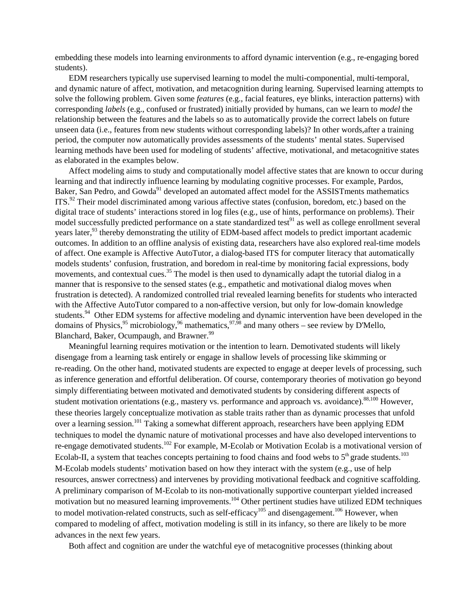embedding these models into learning environments to afford dynamic intervention (e.g., re-engaging bored students).

EDM researchers typically use supervised learning to model the multi-componential, multi-temporal, and dynamic nature of affect, motivation, and metacognition during learning. Supervised learning attempts to solve the following problem. Given some *features* (e.g., facial features, eye blinks, interaction patterns) with corresponding *labels* (e.g., confused or frustrated) initially provided by humans, can we learn to *model* the relationship between the features and the labels so as to automatically provide the correct labels on future unseen data (i.e., features from new students without corresponding labels)? In other words,after a training period, the computer now automatically provides assessments of the students' mental states. Supervised learning methods have been used for modeling of students' affective, motivational, and metacognitive states as elaborated in the examples below.

Affect modeling aims to study and computationally model affective states that are known to occur during learning and that indirectly influence learning by modulating cognitive processes. For example, Pardos, Baker, San Pedro, and Gowda<sup>91</sup> developed an automated affect model for the ASSISTments mathematics ITS.<sup>92</sup> Their model discriminated among various affective states (confusion, boredom, etc.) based on the digital trace of students' interactions stored in log files (e.g., use of hints, performance on problems). Their model successfully predicted performance on a state standardized test<sup>91</sup> as well as college enrollment several years later,<sup>93</sup> thereby demonstrating the utility of EDM-based affect models to predict important academic outcomes. In addition to an offline analysis of existing data, researchers have also explored real-time models of affect. One example is Affective AutoTutor, a dialog-based ITS for computer literacy that automatically models students' confusion, frustration, and boredom in real-time by monitoring facial expressions, body movements, and contextual cues.<sup>35</sup> The model is then used to dynamically adapt the tutorial dialog in a manner that is responsive to the sensed states (e.g., empathetic and motivational dialog moves when frustration is detected). A randomized controlled trial revealed learning benefits for students who interacted with the Affective AutoTutor compared to a non-affective version, but only for low-domain knowledge students.<sup>94</sup> Other EDM systems for affective modeling and dynamic intervention have been developed in the domains of Physics,  $95 \text{ microbiology}$ ,  $96 \text{ mathematics}$ ,  $97,98$  and many others – see review by D'Mello, Blanchard, Baker, Ocumpaugh, and Brawner.<sup>99</sup>

Meaningful learning requires motivation or the intention to learn. Demotivated students will likely disengage from a learning task entirely or engage in shallow levels of processing like skimming or re-reading. On the other hand, motivated students are expected to engage at deeper levels of processing, such as inference generation and effortful deliberation. Of course, contemporary theories of motivation go beyond simply differentiating between motivated and demotivated students by considering different aspects of student motivation orientations (e.g., mastery vs. performance and approach vs. avoidance).<sup>88,100</sup> However, these theories largely conceptualize motivation as stable traits rather than as dynamic processes that unfold over a learning session.<sup>101</sup> Taking a somewhat different approach, researchers have been applying EDM techniques to model the dynamic nature of motivational processes and have also developed interventions to re-engage demotivated students.<sup>102</sup> For example, M-Ecolab or Motivation Ecolab is a motivational version of Ecolab-II, a system that teaches concepts pertaining to food chains and food webs to  $5<sup>th</sup>$  grade students.<sup>103</sup> M-Ecolab models students' motivation based on how they interact with the system (e.g., use of help resources, answer correctness) and intervenes by providing motivational feedback and cognitive scaffolding. A preliminary comparison of M-Ecolab to its non-motivationally supportive counterpart yielded increased motivation but no measured learning improvements.<sup>104</sup> Other pertinent studies have utilized EDM techniques to model motivation-related constructs, such as self-efficacy<sup>105</sup> and disengagement.<sup>106</sup> However, when compared to modeling of affect, motivation modeling is still in its infancy, so there are likely to be more advances in the next few years.

Both affect and cognition are under the watchful eye of metacognitive processes (thinking about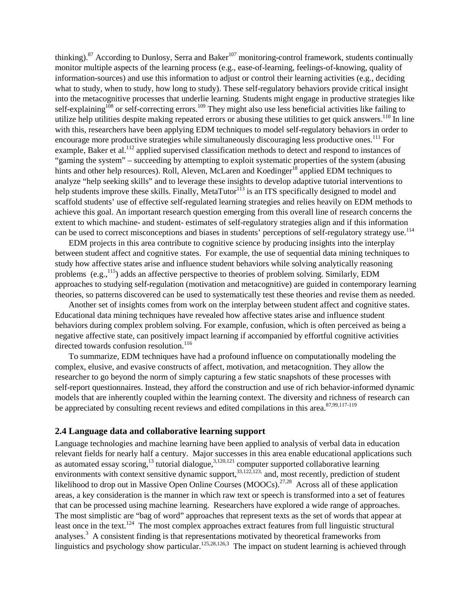thinking).<sup>87</sup> According to Dunlosy, Serra and Baker<sup>107</sup> monitoring-control framework, students continually monitor multiple aspects of the learning process (e.g., ease-of-learning, feelings-of-knowing, quality of information-sources) and use this information to adjust or control their learning activities (e.g., deciding what to study, when to study, how long to study). These self-regulatory behaviors provide critical insight into the metacognitive processes that underlie learning. Students might engage in productive strategies like self-explaining<sup>108</sup> or self-correcting errors.<sup>109</sup> They might also use less beneficial activities like failing to utilize help utilities despite making repeated errors or abusing these utilities to get quick answers.<sup>110</sup> In line with this, researchers have been applying EDM techniques to model self-regulatory behaviors in order to encourage more productive strategies while simultaneously discouraging less productive ones.<sup>111</sup> For example, Baker et al.<sup>112</sup> applied supervised classification methods to detect and respond to instances of "gaming the system" – succeeding by attempting to exploit systematic properties of the system (abusing hints and other help resources). Roll, Aleven, McLaren and Koedinger<sup>18</sup> applied EDM techniques to analyze "help seeking skills" and to leverage these insights to develop adaptive tutorial interventions to help students improve these skills. Finally, MetaTutor<sup>113</sup> is an ITS specifically designed to model and scaffold students' use of effective self-regulated learning strategies and relies heavily on EDM methods to achieve this goal. An important research question emerging from this overall line of research concerns the extent to which machine- and student- estimates of self-regulatory strategies align and if this information can be used to correct misconceptions and biases in students' perceptions of self-regulatory strategy use.<sup>114</sup>

EDM projects in this area contribute to cognitive science by producing insights into the interplay between student affect and cognitive states. For example, the use of sequential data mining techniques to study how affective states arise and influence student behaviors while solving analytically reasoning problems (e.g.,<sup>115</sup>) adds an affective perspective to theories of problem solving. Similarly, EDM approaches to studying self-regulation (motivation and metacognitive) are guided in contemporary learning theories, so patterns discovered can be used to systematically test these theories and revise them as needed.

Another set of insights comes from work on the interplay between student affect and cognitive states. Educational data mining techniques have revealed how affective states arise and influence student behaviors during complex problem solving. For example, confusion, which is often perceived as being a negative affective state, can positively impact learning if accompanied by effortful cognitive activities directed towards confusion resolution.<sup>116</sup>

To summarize, EDM techniques have had a profound influence on computationally modeling the complex, elusive, and evasive constructs of affect, motivation, and metacognition. They allow the researcher to go beyond the norm of simply capturing a few static snapshots of these processes with self-report questionnaires. Instead, they afford the construction and use of rich behavior-informed dynamic models that are inherently coupled within the learning context. The diversity and richness of research can be appreciated by consulting recent reviews and edited compilations in this area. <sup>87,99,117-119</sup>

#### **2.4 Language data and collaborative learning support**

Language technologies and machine learning have been applied to analysis of verbal data in education relevant fields for nearly half a century. Major successes in this area enable educational applications such as automated essay scoring,<sup>13</sup> tutorial dialogue,<sup>3,120,121</sup> computer supported collaborative learning environments with context sensitive dynamic support,  $33,122,123$ , and, most recently, prediction of student likelihood to drop out in Massive Open Online Courses (MOOCs).<sup>27,28</sup> Across all of these application areas, a key consideration is the manner in which raw text or speech is transformed into a set of features that can be processed using machine learning. Researchers have explored a wide range of approaches. The most simplistic are "bag of word" approaches that represent texts as the set of words that appear at least once in the text.<sup>124</sup> The most complex approaches extract features from full linguistic structural analyses.<sup>3</sup> A consistent finding is that representations motivated by theoretical frameworks from linguistics and psychology show particular.<sup>125,28,126,3</sup> The impact on student learning is achieved through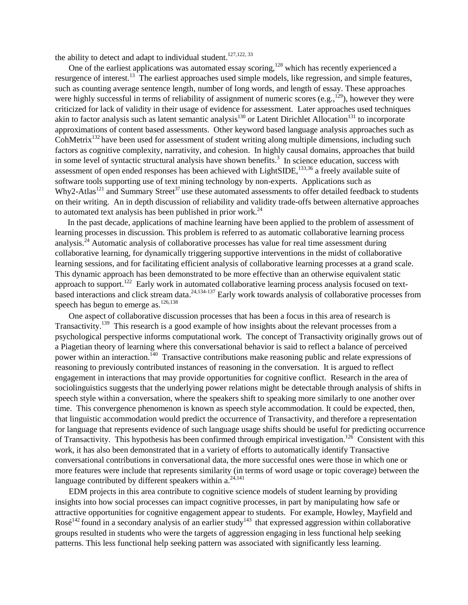the ability to detect and adapt to individual student.<sup>127,122, 33</sup>

One of the earliest applications was automated essay scoring,<sup>128</sup> which has recently experienced a resurgence of interest.<sup>13</sup> The earliest approaches used simple models, like regression, and simple features, such as counting average sentence length, number of long words, and length of essay. These approaches were highly successful in terms of reliability of assignment of numeric scores (e.g.,  $^{129}$ ), however they were criticized for lack of validity in their usage of evidence for assessment. Later approaches used techniques akin to factor analysis such as latent semantic analysis<sup>130</sup> or Latent Dirichlet Allocation<sup>131</sup> to incorporate approximations of content based assessments. Other keyword based language analysis approaches such as CohMetrix132 have been used for assessment of student writing along multiple dimensions, including such factors as cognitive complexity, narrativity, and cohesion. In highly causal domains, approaches that build in some level of syntactic structural analysis have shown benefits. 3 In science education, success with assessment of open ended responses has been achieved with LightSIDE,<sup>133,36</sup> a freely available suite of software tools supporting use of text mining technology by non-experts. Applications such as Why2-Atlas<sup>121</sup> and Summary Street<sup>37</sup> use these automated assessments to offer detailed feedback to students on their writing. An in depth discussion of reliability and validity trade-offs between alternative approaches to automated text analysis has been published in prior work.<sup>24</sup>

 In the past decade, applications of machine learning have been applied to the problem of assessment of learning processes in discussion. This problem is referred to as automatic collaborative learning process analysis.<sup>24</sup> Automatic analysis of collaborative processes has value for real time assessment during collaborative learning, for dynamically triggering supportive interventions in the midst of collaborative learning sessions, and for facilitating efficient analysis of collaborative learning processes at a grand scale. This dynamic approach has been demonstrated to be more effective than an otherwise equivalent static approach to support.<sup>122</sup> Early work in automated collaborative learning process analysis focused on textbased interactions and click stream data.<sup>24,134-137</sup> Early work towards analysis of collaborative processes from speech has begun to emerge as.<sup>126,138</sup>

One aspect of collaborative discussion processes that has been a focus in this area of research is Transactivity.<sup>139</sup> This research is a good example of how insights about the relevant processes from a psychological perspective informs computational work. The concept of Transactivity originally grows out of a Piagetian theory of learning where this conversational behavior is said to reflect a balance of perceived power within an interaction.<sup>140</sup> Transactive contributions make reasoning public and relate expressions of reasoning to previously contributed instances of reasoning in the conversation. It is argued to reflect engagement in interactions that may provide opportunities for cognitive conflict. Research in the area of sociolinguistics suggests that the underlying power relations might be detectable through analysis of shifts in speech style within a conversation, where the speakers shift to speaking more similarly to one another over time. This convergence phenomenon is known as speech style accommodation. It could be expected, then, that linguistic accommodation would predict the occurrence of Transactivity, and therefore a representation for language that represents evidence of such language usage shifts should be useful for predicting occurrence of Transactivity. This hypothesis has been confirmed through empirical investigation.<sup>126</sup> Consistent with this work, it has also been demonstrated that in a variety of efforts to automatically identify Transactive conversational contributions in conversational data, the more successful ones were those in which one or more features were include that represents similarity (in terms of word usage or topic coverage) between the language contributed by different speakers within  $a^{24,141}$ .

EDM projects in this area contribute to cognitive science models of student learning by providing insights into how social processes can impact cognitive processes, in part by manipulating how safe or attractive opportunities for cognitive engagement appear to students. For example, Howley, Mayfield and  $\text{Rose}^{142}$  found in a secondary analysis of an earlier study<sup>143</sup> that expressed aggression within collaborative groups resulted in students who were the targets of aggression engaging in less functional help seeking patterns. This less functional help seeking pattern was associated with significantly less learning.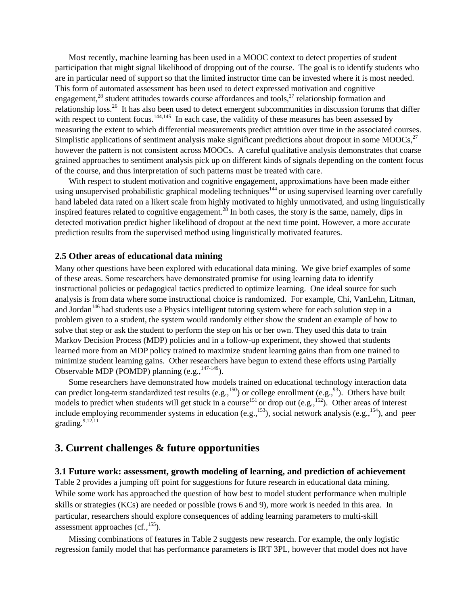Most recently, machine learning has been used in a MOOC context to detect properties of student participation that might signal likelihood of dropping out of the course. The goal is to identify students who are in particular need of support so that the limited instructor time can be invested where it is most needed. This form of automated assessment has been used to detect expressed motivation and cognitive engagement,<sup>28</sup> student attitudes towards course affordances and tools,<sup>27</sup> relationship formation and relationship loss.<sup>26</sup> It has also been used to detect emergent subcommunities in discussion forums that differ with respect to content focus.  $144,145$  In each case, the validity of these measures has been assessed by measuring the extent to which differential measurements predict attrition over time in the associated courses. Simplistic applications of sentiment analysis make significant predictions about dropout in some  $MOOCs$ ,  $27$ however the pattern is not consistent across MOOCs. A careful qualitative analysis demonstrates that coarse grained approaches to sentiment analysis pick up on different kinds of signals depending on the content focus of the course, and thus interpretation of such patterns must be treated with care.

With respect to student motivation and cognitive engagement, approximations have been made either using unsupervised probabilistic graphical modeling techniques<sup>144</sup> or using supervised learning over carefully hand labeled data rated on a likert scale from highly motivated to highly unmotivated, and using linguistically inspired features related to cognitive engagement.<sup>28</sup> In both cases, the story is the same, namely, dips in detected motivation predict higher likelihood of dropout at the next time point. However, a more accurate prediction results from the supervised method using linguistically motivated features.

#### **2.5 Other areas of educational data mining**

Many other questions have been explored with educational data mining. We give brief examples of some of these areas. Some researchers have demonstrated promise for using learning data to identify instructional policies or pedagogical tactics predicted to optimize learning. One ideal source for such analysis is from data where some instructional choice is randomized. For example, Chi, VanLehn, Litman, and Jordan<sup>146</sup> had students use a Physics intelligent tutoring system where for each solution step in a problem given to a student, the system would randomly either show the student an example of how to solve that step or ask the student to perform the step on his or her own. They used this data to train Markov Decision Process (MDP) policies and in a follow-up experiment, they showed that students learned more from an MDP policy trained to maximize student learning gains than from one trained to minimize student learning gains. Other researchers have begun to extend these efforts using Partially Observable MDP (POMDP) planning  $(e.g.,<sup>147-149</sup>)$ .

Some researchers have demonstrated how models trained on educational technology interaction data can predict long-term standardized test results (e.g.,<sup>150</sup>) or college enrollment (e.g.,<sup>93</sup>). Others have built models to predict when students will get stuck in a course<sup>151</sup> or drop out (e.g.,<sup>152</sup>). Other areas of interest include employing recommender systems in education (e.g.,<sup>153</sup>), social network analysis (e.g.,<sup>154</sup>), and peer grading.<sup>9,12,11</sup>

## **3. Current challenges & future opportunities**

#### **3.1 Future work: assessment, growth modeling of learning, and prediction of achievement**

Table 2 provides a jumping off point for suggestions for future research in educational data mining. While some work has approached the question of how best to model student performance when multiple skills or strategies (KCs) are needed or possible (rows 6 and 9), more work is needed in this area. In particular, researchers should explore consequences of adding learning parameters to multi-skill assessment approaches  $(cf.,<sup>155</sup>)$ .

Missing combinations of features in Table 2 suggests new research. For example, the only logistic regression family model that has performance parameters is IRT 3PL, however that model does not have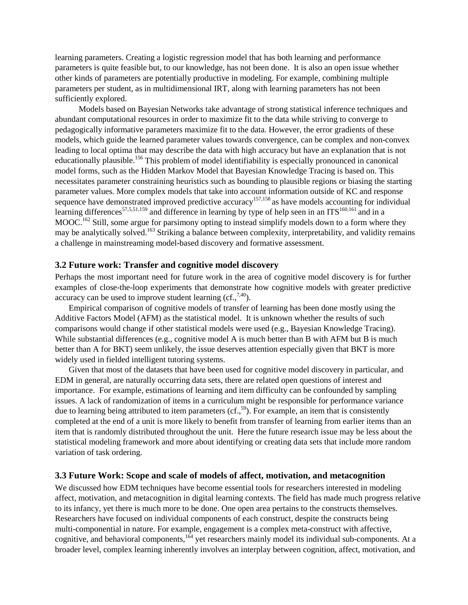learning parameters. Creating a logistic regression model that has both learning and performance parameters is quite feasible but, to our knowledge, has not been done. It is also an open issue whether other kinds of parameters are potentially productive in modeling. For example, combining multiple parameters per student, as in multidimensional IRT, along with learning parameters has not been sufficiently explored.

Models based on Bayesian Networks take advantage of strong statistical inference techniques and abundant computational resources in order to maximize fit to the data while striving to converge to pedagogically informative parameters maximize fit to the data. However, the error gradients of these models, which guide the learned parameter values towards convergence, can be complex and non-convex leading to local optima that may describe the data with high accuracy but have an explanation that is not educationally plausible.<sup>156</sup> This problem of model identifiability is especially pronounced in canonical model forms, such as the Hidden Markov Model that Bayesian Knowledge Tracing is based on. This necessitates parameter constraining heuristics such as bounding to plausible regions or biasing the starting parameter values. More complex models that take into account information outside of KC and response sequence have demonstrated improved predictive accuracy<sup>157,158</sup> as have models accounting for individual learning differences<sup>57,5,51,159</sup> and difference in learning by type of help seen in an ITS<sup>160,161</sup> and in a MOOC.<sup>162</sup> Still, some argue for parsimony opting to instead simplify models down to a form where they may be analytically solved.<sup>163</sup> Striking a balance between complexity, interpretability, and validity remains a challenge in mainstreaming model-based discovery and formative assessment.

#### **3.2 Future work: Transfer and cognitive model discovery**

Perhaps the most important need for future work in the area of cognitive model discovery is for further examples of close-the-loop experiments that demonstrate how cognitive models with greater predictive accuracy can be used to improve student learning  $(cf.,<sup>7,40</sup>)$ .

Empirical comparison of cognitive models of transfer of learning has been done mostly using the Additive Factors Model (AFM) as the statistical model. It is unknown whether the results of such comparisons would change if other statistical models were used (e.g., Bayesian Knowledge Tracing). While substantial differences (e.g., cognitive model A is much better than B with AFM but B is much better than A for BKT) seem unlikely, the issue deserves attention especially given that BKT is more widely used in fielded intelligent tutoring systems.

Given that most of the datasets that have been used for cognitive model discovery in particular, and EDM in general, are naturally occurring data sets, there are related open questions of interest and importance. For example, estimations of learning and item difficulty can be confounded by sampling issues. A lack of randomization of items in a curriculum might be responsible for performance variance due to learning being attributed to item parameters  $(cf, <sup>59</sup>)$ . For example, an item that is consistently completed at the end of a unit is more likely to benefit from transfer of learning from earlier items than an item that is randomly distributed throughout the unit. Here the future research issue may be less about the statistical modeling framework and more about identifying or creating data sets that include more random variation of task ordering.

#### **3.3 Future Work: Scope and scale of models of affect, motivation, and metacognition**

We discussed how EDM techniques have become essential tools for researchers interested in modeling affect, motivation, and metacognition in digital learning contexts. The field has made much progress relative to its infancy, yet there is much more to be done. One open area pertains to the constructs themselves. Researchers have focused on individual components of each construct, despite the constructs being multi-componential in nature. For example, engagement is a complex meta-construct with affective, cognitive, and behavioral components, <sup>164</sup> yet researchers mainly model its individual sub-components. At a broader level, complex learning inherently involves an interplay between cognition, affect, motivation, and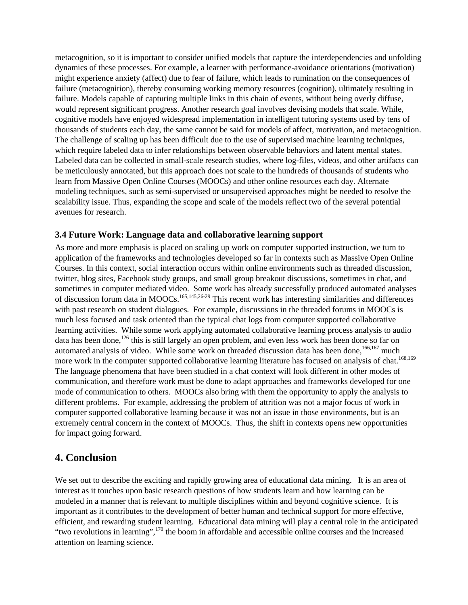metacognition, so it is important to consider unified models that capture the interdependencies and unfolding dynamics of these processes. For example, a learner with performance-avoidance orientations (motivation) might experience anxiety (affect) due to fear of failure, which leads to rumination on the consequences of failure (metacognition), thereby consuming working memory resources (cognition), ultimately resulting in failure. Models capable of capturing multiple links in this chain of events, without being overly diffuse, would represent significant progress. Another research goal involves devising models that scale. While, cognitive models have enjoyed widespread implementation in intelligent tutoring systems used by tens of thousands of students each day, the same cannot be said for models of affect, motivation, and metacognition. The challenge of scaling up has been difficult due to the use of supervised machine learning techniques, which require labeled data to infer relationships between observable behaviors and latent mental states. Labeled data can be collected in small-scale research studies, where log-files, videos, and other artifacts can be meticulously annotated, but this approach does not scale to the hundreds of thousands of students who learn from Massive Open Online Courses (MOOCs) and other online resources each day. Alternate modeling techniques, such as semi-supervised or unsupervised approaches might be needed to resolve the scalability issue. Thus, expanding the scope and scale of the models reflect two of the several potential avenues for research.

#### **3.4 Future Work: Language data and collaborative learning support**

As more and more emphasis is placed on scaling up work on computer supported instruction, we turn to application of the frameworks and technologies developed so far in contexts such as Massive Open Online Courses. In this context, social interaction occurs within online environments such as threaded discussion, twitter, blog sites, Facebook study groups, and small group breakout discussions, sometimes in chat, and sometimes in computer mediated video. Some work has already successfully produced automated analyses of discussion forum data in MOOCs.<sup>165,145,26-29</sup> This recent work has interesting similarities and differences with past research on student dialogues. For example, discussions in the threaded forums in MOOCs is much less focused and task oriented than the typical chat logs from computer supported collaborative learning activities. While some work applying automated collaborative learning process analysis to audio data has been done,<sup>126</sup> this is still largely an open problem, and even less work has been done so far on automated analysis of video. While some work on threaded discussion data has been done, <sup>166,167</sup> much more work in the computer supported collaborative learning literature has focused on analysis of chat.<sup>168,169</sup> The language phenomena that have been studied in a chat context will look different in other modes of communication, and therefore work must be done to adapt approaches and frameworks developed for one mode of communication to others. MOOCs also bring with them the opportunity to apply the analysis to different problems. For example, addressing the problem of attrition was not a major focus of work in computer supported collaborative learning because it was not an issue in those environments, but is an extremely central concern in the context of MOOCs. Thus, the shift in contexts opens new opportunities for impact going forward.

## **4. Conclusion**

We set out to describe the exciting and rapidly growing area of educational data mining. It is an area of interest as it touches upon basic research questions of how students learn and how learning can be modeled in a manner that is relevant to multiple disciplines within and beyond cognitive science. It is important as it contributes to the development of better human and technical support for more effective, efficient, and rewarding student learning. Educational data mining will play a central role in the anticipated "two revolutions in learning",  $170$  the boom in affordable and accessible online courses and the increased attention on learning science.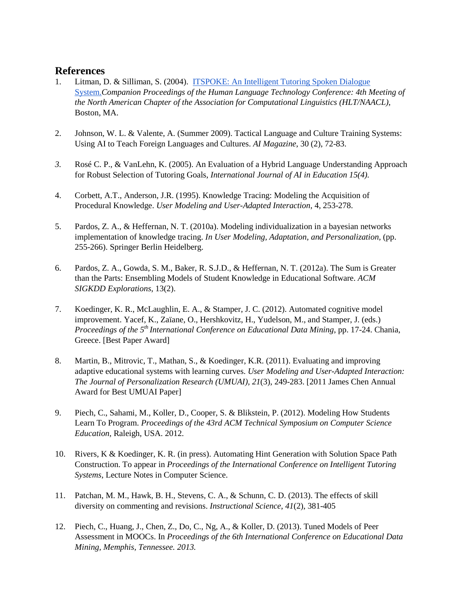## **References**

- 1. Litman, D. & Silliman, S. (2004). [ITSPOKE: An Intelligent Tutoring Spoken Dialogue](http://www.google.com/url?q=http%3A%2F%2Fwww.cs.pitt.edu%2F%257Elitman%2Fdemo-final.pdf&sa=D&sntz=1&usg=AFQjCNFd2bxq1keh274TU8wrbArTOgXHYQ)  [System.](http://www.google.com/url?q=http%3A%2F%2Fwww.cs.pitt.edu%2F%257Elitman%2Fdemo-final.pdf&sa=D&sntz=1&usg=AFQjCNFd2bxq1keh274TU8wrbArTOgXHYQ)*Companion Proceedings of the Human Language Technology Conference: 4th Meeting of the North American Chapter of the Association for Computational Linguistics (HLT/NAACL)*, Boston, MA.
- 2. Johnson, W. L. & Valente, A. (Summer 2009). Tactical Language and Culture Training Systems: Using AI to Teach Foreign Languages and Cultures. *AI Magazine*, 30 (2), 72-83.
- *3.* Rosé C. P., & VanLehn, K. (2005). An Evaluation of a Hybrid Language Understanding Approach for Robust Selection of Tutoring Goals, *International Journal of AI in Education 15(4).*
- 4. Corbett, A.T., Anderson, J.R. (1995). Knowledge Tracing: Modeling the Acquisition of Procedural Knowledge. *User Modeling and User-Adapted Interaction*, 4, 253-278.
- 5. Pardos, Z. A., & Heffernan, N. T. (2010a). Modeling individualization in a bayesian networks implementation of knowledge tracing. *In User Modeling, Adaptation, and Personalization,* (pp. 255-266). Springer Berlin Heidelberg.
- 6. Pardos, Z. A., Gowda, S. M., Baker, R. S.J.D., & Heffernan, N. T. (2012a). The Sum is Greater than the Parts: Ensembling Models of Student Knowledge in Educational Software. *ACM SIGKDD Explorations*, 13(2).
- 7. Koedinger, K. R., McLaughlin, E. A., & Stamper, J. C. (2012). Automated cognitive model improvement. Yacef, K., Zaïane, O., Hershkovitz, H., Yudelson, M., and Stamper, J. (eds.) *Proceedings of the 5<sup>th</sup> International Conference on Educational Data Mining, pp. 17-24. Chania,* Greece. [Best Paper Award]
- 8. Martin, B., Mitrovic, T., Mathan, S., & Koedinger, K.R. (2011). Evaluating and improving adaptive educational systems with learning curves. *User Modeling and User-Adapted Interaction: The Journal of Personalization Research (UMUAI), 21*(3), 249-283. [2011 James Chen Annual Award for Best UMUAI Paper]
- 9. Piech, C., Sahami, M., Koller, D., Cooper, S. & Blikstein, P. (2012). Modeling How Students Learn To Program. *Proceedings of the 43rd ACM Technical Symposium on Computer Science Education*, Raleigh, USA. 2012.
- 10. Rivers, K & Koedinger, K. R. (in press). Automating Hint Generation with Solution Space Path Construction. To appear in *Proceedings of the International Conference on Intelligent Tutoring Systems*, Lecture Notes in Computer Science.
- 11. Patchan, M. M., Hawk, B. H., Stevens, C. A., & Schunn, C. D. (2013). The effects of skill diversity on commenting and revisions. *Instructional Science*, *41*(2), 381-405
- 12. Piech, C., Huang, J., Chen, Z., Do, C., Ng, A., & Koller, D. (2013). Tuned Models of Peer Assessment in MOOCs. In *Proceedings of the 6th International Conference on Educational Data Mining, Memphis, Tennessee. 2013.*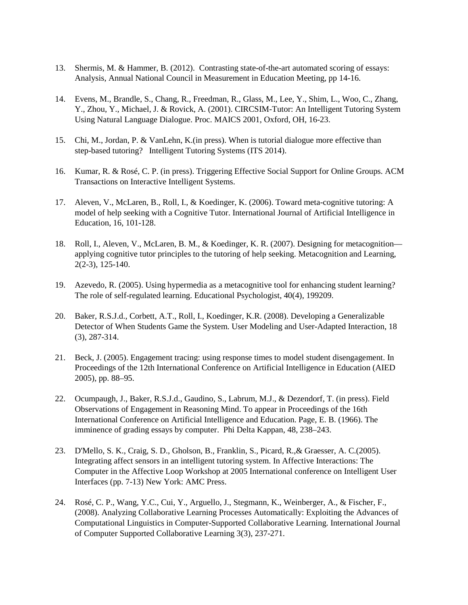- 13. Shermis, M. & Hammer, B. (2012). Contrasting state-of-the-art automated scoring of essays: Analysis, Annual National Council in Measurement in Education Meeting, pp 14-16.
- 14. Evens, M., Brandle, S., Chang, R., Freedman, R., Glass, M., Lee, Y., Shim, L., Woo, C., Zhang, Y., Zhou, Y., Michael, J. & Rovick, A. (2001). CIRCSIM-Tutor: An Intelligent Tutoring System Using Natural Language Dialogue. Proc. MAICS 2001, Oxford, OH, 16-23.
- 15. Chi, M., Jordan, P. & VanLehn, K.(in press). When is tutorial dialogue more effective than step-based tutoring? Intelligent Tutoring Systems (ITS 2014).
- 16. Kumar, R. & Rosé, C. P. (in press). Triggering Effective Social Support for Online Groups. ACM Transactions on Interactive Intelligent Systems.
- 17. Aleven, V., McLaren, B., Roll, I., & Koedinger, K. (2006). Toward meta-cognitive tutoring: A model of help seeking with a Cognitive Tutor. International Journal of Artificial Intelligence in Education, 16, 101-128.
- 18. Roll, I., Aleven, V., McLaren, B. M., & Koedinger, K. R. (2007). Designing for metacognition applying cognitive tutor principles to the tutoring of help seeking. Metacognition and Learning, 2(2-3), 125-140.
- 19. Azevedo, R. (2005). Using hypermedia as a metacognitive tool for enhancing student learning? The role of self-regulated learning. Educational Psychologist, 40(4), 199209.
- 20. Baker, R.S.J.d., Corbett, A.T., Roll, I., Koedinger, K.R. (2008). Developing a Generalizable Detector of When Students Game the System. User Modeling and User-Adapted Interaction, 18 (3), 287-314.
- 21. Beck, J. (2005). Engagement tracing: using response times to model student disengagement. In Proceedings of the 12th International Conference on Artificial Intelligence in Education (AIED 2005), pp. 88–95.
- 22. Ocumpaugh, J., Baker, R.S.J.d., Gaudino, S., Labrum, M.J., & Dezendorf, T. (in press). Field Observations of Engagement in Reasoning Mind. To appear in Proceedings of the 16th International Conference on Artificial Intelligence and Education. Page, E. B. (1966). The imminence of grading essays by computer. Phi Delta Kappan, 48, 238–243.
- 23. D'Mello, S. K., Craig, S. D., Gholson, B., Franklin, S., Picard, R.,& Graesser, A. C.(2005). Integrating affect sensors in an intelligent tutoring system. In Affective Interactions: The Computer in the Affective Loop Workshop at 2005 International conference on Intelligent User Interfaces (pp. 7-13) New York: AMC Press.
- 24. Rosé, C. P., Wang, Y.C., Cui, Y., Arguello, J., Stegmann, K., Weinberger, A., & Fischer, F., (2008). Analyzing Collaborative Learning Processes Automatically: Exploiting the Advances of Computational Linguistics in Computer-Supported Collaborative Learning. International Journal of Computer Supported Collaborative Learning 3(3), 237-271.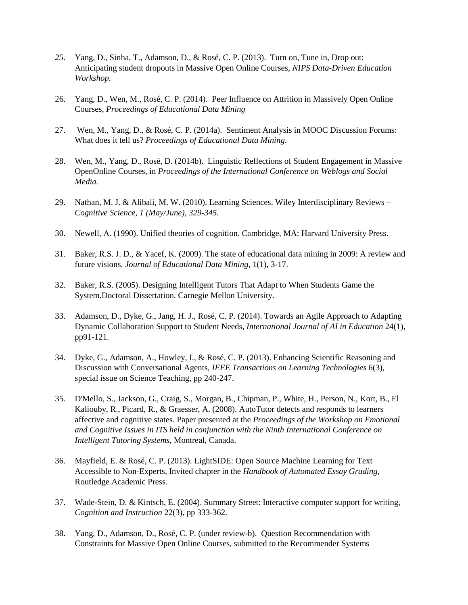- *25.* Yang, D., Sinha, T., Adamson, D., & Rosé, C. P. (2013). Turn on, Tune in, Drop out: Anticipating student dropouts in Massive Open Online Courses, *NIPS Data-Driven Education Workshop.*
- 26. Yang, D., Wen, M., Rosé, C. P. (2014). Peer Influence on Attrition in Massively Open Online Courses, *Proceedings of Educational Data Mining*
- 27. Wen, M., Yang, D., & Rosé, C. P. (2014a). Sentiment Analysis in MOOC Discussion Forums: What does it tell us? *Proceedings of Educational Data Mining.*
- 28. Wen, M., Yang, D., Rosé, D. (2014b). Linguistic Reflections of Student Engagement in Massive OpenOnline Courses, in *Proceedings of the International Conference on Weblogs and Social Media.*
- 29. Nathan, M. J. & Alibali, M. W. (2010). Learning Sciences. Wiley Interdisciplinary Reviews *Cognitive Science, 1 (May/June), 329-345.*
- 30. Newell, A. (1990). Unified theories of cognition. Cambridge, MA: Harvard University Press.
- 31. Baker, R.S. J. D., & Yacef, K. (2009). The state of educational data mining in 2009: A review and future visions*. Journal of Educational Data Mining,* 1(1), 3-17.
- 32. Baker, R.S. (2005). Designing Intelligent Tutors That Adapt to When Students Game the System.Doctoral Dissertation. Carnegie Mellon University.
- 33. Adamson, D., Dyke, G., Jang, H. J., Rosé, C. P. (2014). Towards an Agile Approach to Adapting Dynamic Collaboration Support to Student Needs, *International Journal of AI in Education* 24(1), pp91-121.
- 34. Dyke, G., Adamson, A., Howley, I., & Rosé, C. P. (2013). Enhancing Scientific Reasoning and Discussion with Conversational Agents, *IEEE Transactions on Learning Technologies* 6(3), special issue on Science Teaching, pp 240-247.
- 35. D'Mello, S., Jackson, G., Craig, S., Morgan, B., Chipman, P., White, H., Person, N., Kort, B., El Kaliouby, R., Picard, R., & Graesser, A. (2008). AutoTutor detects and responds to learners affective and cognitive states. Paper presented at the *Proceedings of the Workshop on Emotional and Cognitive Issues in ITS held in conjunction with the Ninth International Conference on Intelligent Tutoring Systems*, Montreal, Canada.
- 36. Mayfield, E. & Rosé, C. P. (2013). LightSIDE: Open Source Machine Learning for Text Accessible to Non-Experts, Invited chapter in the *Handbook of Automated Essay Grading,*  Routledge Academic Press.
- 37. Wade-Stein, D. & Kintsch, E. (2004). Summary Street: Interactive computer support for writing, *Cognition and Instruction* 22(3), pp 333-362.
- 38. Yang, D., Adamson, D., Rosé, C. P. (under review-b). Question Recommendation with Constraints for Massive Open Online Courses, submitted to the Recommender Systems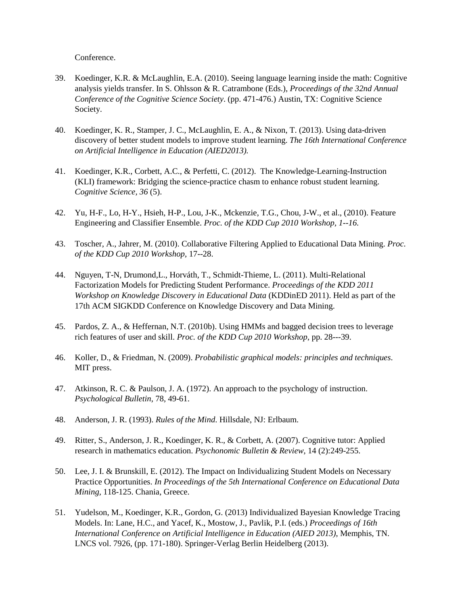Conference.

- 39. Koedinger, K.R. & McLaughlin, E.A. (2010). Seeing language learning inside the math: Cognitive analysis yields transfer. In S. Ohlsson & R. Catrambone (Eds.), *Proceedings of the 32nd Annual Conference of the Cognitive Science Society*. (pp. 471-476.) Austin, TX: Cognitive Science Society.
- 40. Koedinger, K. R., Stamper, J. C., McLaughlin, E. A., & Nixon, T. (2013). Using data-driven discovery of better student models to improve student learning. *The 16th International Conference on Artificial Intelligence in Education (AIED2013).*
- 41. Koedinger, K.R., Corbett, A.C., & Perfetti, C. (2012). The Knowledge-Learning-Instruction (KLI) framework: Bridging the science-practice chasm to enhance robust student learning. *Cognitive Science, 36* (5).
- 42. Yu, H-F., Lo, H-Y., Hsieh, H-P., Lou, J-K., Mckenzie, T.G., Chou, J-W., et al., (2010). Feature Engineering and Classifier Ensemble. *Proc. of the KDD Cup 2010 Workshop, 1--16.*
- 43. Toscher, A., Jahrer, M. (2010). Collaborative Filtering Applied to Educational Data Mining. *Proc. of the KDD Cup 2010 Workshop*, 17--28.
- 44. Nguyen, T-N, Drumond,L., Horváth, T., Schmidt-Thieme, L. (2011). Multi-Relational Factorization Models for Predicting Student Performance. *Proceedings of the KDD 2011 Workshop on Knowledge Discovery in Educational Data* (KDDinED 2011). Held as part of the 17th ACM SIGKDD Conference on Knowledge Discovery and Data Mining.
- 45. Pardos, Z. A., & Heffernan, N.T. (2010b). Using HMMs and bagged decision trees to leverage rich features of user and skill. *Proc. of the KDD Cup 2010 Workshop*, pp. 28---39.
- 46. Koller, D., & Friedman, N. (2009). *Probabilistic graphical models: principles and techniques*. MIT press.
- 47. Atkinson, R. C. & Paulson, J. A. (1972). An approach to the psychology of instruction. *Psychological Bulletin*, 78, 49-61.
- 48. Anderson, J. R. (1993). *Rules of the Mind*. Hillsdale, NJ: Erlbaum.
- 49. Ritter, S., Anderson, J. R., Koedinger, K. R., & Corbett, A. (2007). Cognitive tutor: Applied research in mathematics education. *Psychonomic Bulletin & Review*, 14 (2):249-255.
- 50. Lee, J. I. & Brunskill, E. (2012). The Impact on Individualizing Student Models on Necessary Practice Opportunities. *In Proceedings of the 5th International Conference on Educational Data Mining,* 118-125. Chania, Greece.
- 51. Yudelson, M., Koedinger, K.R., Gordon, G. (2013) Individualized Bayesian Knowledge Tracing Models. In: Lane, H.C., and Yacef, K., Mostow, J., Pavlik, P.I. (eds.) *Proceedings of 16th International Conference on Artificial Intelligence in Education (AIED 2013)*, Memphis, TN. LNCS vol. 7926, (pp. 171-180). Springer-Verlag Berlin Heidelberg (2013).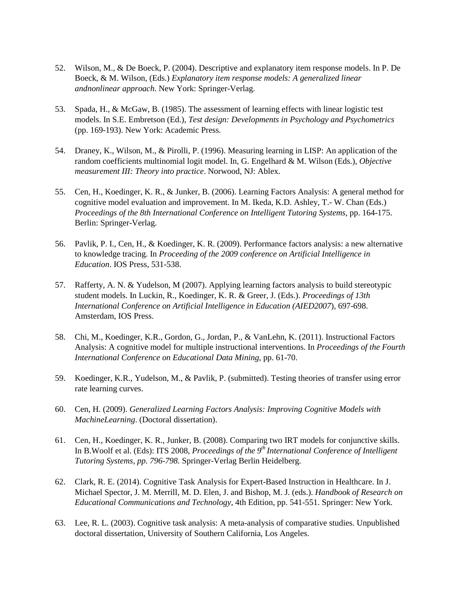- 52. Wilson, M., & De Boeck, P. (2004). Descriptive and explanatory item response models. In P. De Boeck, & M. Wilson, (Eds.) *Explanatory item response models: A generalized linear andnonlinear approach*. New York: Springer-Verlag.
- 53. Spada, H., & McGaw, B. (1985). The assessment of learning effects with linear logistic test models. In S.E. Embretson (Ed.), *Test design: Developments in Psychology and Psychometrics*  (pp. 169-193). New York: Academic Press.
- 54. Draney, K., Wilson, M., & Pirolli, P. (1996). Measuring learning in LISP: An application of the random coefficients multinomial logit model. In, G. Engelhard & M. Wilson (Eds.), *Objective measurement III: Theory into practice*. Norwood, NJ: Ablex.
- 55. Cen, H., Koedinger, K. R., & Junker, B. (2006). Learning Factors Analysis: A general method for cognitive model evaluation and improvement. In M. Ikeda, K.D. Ashley, T.- W. Chan (Eds.) *Proceedings of the 8th International Conference on Intelligent Tutoring Systems*, pp. 164-175. Berlin: Springer-Verlag.
- 56. Pavlik, P. I., Cen, H., & Koedinger, K. R. (2009). Performance factors analysis: a new alternative to knowledge tracing. In *Proceeding of the 2009 conference on Artificial Intelligence in Education*. IOS Press, 531-538.
- 57. Rafferty, A. N. & Yudelson, M (2007). Applying learning factors analysis to build stereotypic student models. In Luckin, R., Koedinger, K. R. & Greer, J. (Eds.). *Proceedings of 13th International Conference on Artificial Intelligence in Education (AIED2007*), 697-698. Amsterdam, IOS Press.
- 58. Chi, M., Koedinger, K.R., Gordon, G., Jordan, P., & VanLehn, K. (2011). Instructional Factors Analysis: A cognitive model for multiple instructional interventions. In *Proceedings of the Fourth International Conference on Educational Data Mining*, pp. 61-70.
- 59. Koedinger, K.R., Yudelson, M., & Pavlik, P. (submitted). Testing theories of transfer using error rate learning curves.
- 60. Cen, H. (2009). *Generalized Learning Factors Analysis: Improving Cognitive Models with MachineLearning*. (Doctoral dissertation).
- 61. Cen, H., Koedinger, K. R., Junker, B. (2008). Comparing two IRT models for conjunctive skills. In B.Woolf et al. (Eds): ITS 2008, *Proceedings of the 9th International Conference of Intelligent Tutoring Systems, pp. 796-798.* Springer-Verlag Berlin Heidelberg.
- 62. Clark, R. E. (2014). Cognitive Task Analysis for Expert-Based Instruction in Healthcare. In J. Michael Spector, J. M. Merrill, M. D. Elen, J. and Bishop, M. J. (eds.). *Handbook of Research on Educational Communications and Technology*, 4th Edition, pp. 541-551. Springer: New York.
- 63. Lee, R. L. (2003). Cognitive task analysis: A meta-analysis of comparative studies. Unpublished doctoral dissertation, University of Southern California, Los Angeles.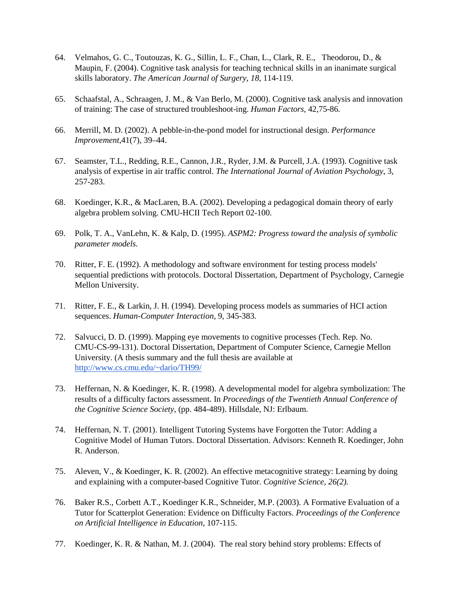- 64. Velmahos, G. C., Toutouzas, K. G., Sillin, L. F., Chan, L., Clark, R. E., Theodorou, D., & Maupin, F. (2004). Cognitive task analysis for teaching technical skills in an inanimate surgical skills laboratory. *The American Journal of Surgery*, *18*, 114-119.
- 65. Schaafstal, A., Schraagen, J. M., & Van Berlo, M. (2000). Cognitive task analysis and innovation of training: The case of structured troubleshoot-ing. *Human Factors*, 42,75-86.
- 66. Merrill, M. D. (2002). A pebble-in-the-pond model for instructional design. *Performance Improvement,*41(7), 39–44.
- 67. Seamster, T.L., Redding, R.E., Cannon, J.R., Ryder, J.M. & Purcell, J.A. (1993). Cognitive task analysis of expertise in air traffic control. *The International Journal of Aviation Psychology*, 3, 257-283.
- 68. Koedinger, K.R., & MacLaren, B.A. (2002). Developing a pedagogical domain theory of early algebra problem solving. CMU-HCII Tech Report 02-100.
- 69. Polk, T. A., VanLehn, K. & Kalp, D. (1995). *ASPM2: Progress toward the analysis of symbolic parameter models*.
- 70. Ritter, F. E. (1992). A methodology and software environment for testing process models' sequential predictions with protocols. Doctoral Dissertation, Department of Psychology, Carnegie Mellon University.
- 71. Ritter, F. E., & Larkin, J. H. (1994). Developing process models as summaries of HCI action sequences. *Human-Computer Interaction*, 9, 345-383.
- 72. Salvucci, D. D. (1999). Mapping eye movements to cognitive processes (Tech. Rep. No. CMU-CS-99-131). Doctoral Dissertation, Department of Computer Science, Carnegie Mellon University. (A thesis summary and the full thesis are available at [http://www.cs.cmu.edu/~dario/TH99/](http://www.google.com/url?q=http%3A%2F%2Fwww.cs.cmu.edu%2F%7Edario%2FTH99%2F&sa=D&sntz=1&usg=AFQjCNH49Twnc9dzwCffa4SQItPKpWE-TA)
- 73. Heffernan, N. & Koedinger, K. R. (1998). A developmental model for algebra symbolization: The results of a difficulty factors assessment. In *Proceedings of the Twentieth Annual Conference of the Cognitive Science Society,* (pp. 484-489). Hillsdale, NJ: Erlbaum.
- 74. Heffernan, N. T. (2001). Intelligent Tutoring Systems have Forgotten the Tutor: Adding a Cognitive Model of Human Tutors. Doctoral Dissertation. Advisors: Kenneth R. Koedinger, John R. Anderson.
- 75. Aleven, V., & Koedinger, K. R. (2002). An effective metacognitive strategy: Learning by doing and explaining with a computer-based Cognitive Tutor. *Cognitive Science, 26(2).*
- 76. Baker R.S., Corbett A.T., Koedinger K.R., Schneider, M.P. (2003). A Formative Evaluation of a Tutor for Scatterplot Generation: Evidence on Difficulty Factors. *Proceedings of the Conference on Artificial Intelligence in Education*, 107-115.
- 77. Koedinger, K. R. & Nathan, M. J. (2004). The real story behind story problems: Effects of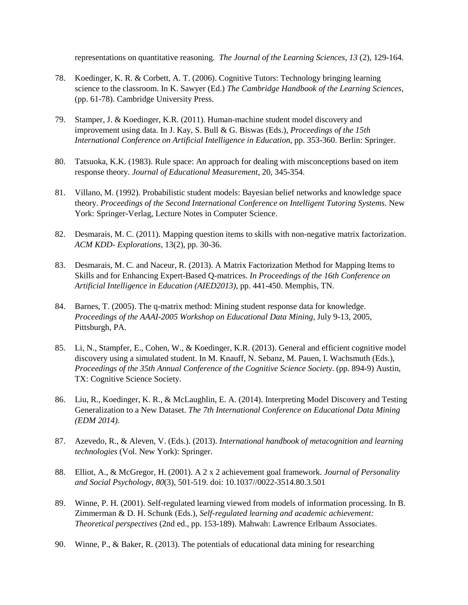representations on quantitative reasoning. *The Journal of the Learning Sciences, 13* (2), 129-164.

- 78. Koedinger, K. R. & Corbett, A. T. (2006). Cognitive Tutors: Technology bringing learning science to the classroom. In K. Sawyer (Ed.) *The Cambridge Handbook of the Learning Sciences,*  (pp. 61-78). Cambridge University Press.
- 79. Stamper, J. & Koedinger, K.R. (2011). Human-machine student model discovery and improvement using data. In J. Kay, S. Bull & G. Biswas (Eds.), *Proceedings of the 15th International Conference on Artificial Intelligence in Education*, pp. 353-360. Berlin: Springer.
- 80. Tatsuoka, K.K. (1983). Rule space: An approach for dealing with misconceptions based on item response theory. *Journal of Educational Measurement,* 20, 345-354.
- 81. Villano, M. (1992). Probabilistic student models: Bayesian belief networks and knowledge space theory. *Proceedings of the Second International Conference on Intelligent Tutoring Systems*. New York: Springer-Verlag, Lecture Notes in Computer Science.
- 82. Desmarais, M. C. (2011). Mapping question items to skills with non-negative matrix factorization. *ACM KDD- Explorations*, 13(2), pp. 30-36.
- 83. Desmarais, M. C. and Naceur, R. (2013). A Matrix Factorization Method for Mapping Items to Skills and for Enhancing Expert-Based Q-matrices. *In Proceedings of the 16th Conference on Artificial Intelligence in Education (AIED2013)*, pp. 441-450. Memphis, TN.
- 84. Barnes, T. (2005). The q-matrix method: Mining student response data for knowledge. *Proceedings of the AAAI-2005 Workshop on Educational Data Mining*, July 9-13, 2005, Pittsburgh, PA.
- 85. Li, N., Stampfer, E., Cohen, W., & Koedinger, K.R. (2013). General and efficient cognitive model discovery using a simulated student. In M. Knauff, N. Sebanz, M. Pauen, I. Wachsmuth (Eds.), *Proceedings of the 35th Annual Conference of the Cognitive Science Society*. (pp. 894-9) Austin, TX: Cognitive Science Society.
- 86. Liu, R., Koedinger, K. R., & McLaughlin, E. A. (2014). Interpreting Model Discovery and Testing Generalization to a New Dataset. *The 7th International Conference on Educational Data Mining (EDM 2014).*
- 87. Azevedo, R., & Aleven, V. (Eds.). (2013). *International handbook of metacognition and learning technologies* (Vol. New York): Springer.
- 88. Elliot, A., & McGregor, H. (2001). A 2 x 2 achievement goal framework. *Journal of Personality and Social Psychology, 80*(3), 501-519. doi: 10.1037//0022-3514.80.3.501
- 89. Winne, P. H. (2001). Self-regulated learning viewed from models of information processing. In B. Zimmerman & D. H. Schunk (Eds.), *Self-regulated learning and academic achievement: Theoretical perspectives* (2nd ed., pp. 153-189). Mahwah: Lawrence Erlbaum Associates.
- 90. Winne, P., & Baker, R. (2013). The potentials of educational data mining for researching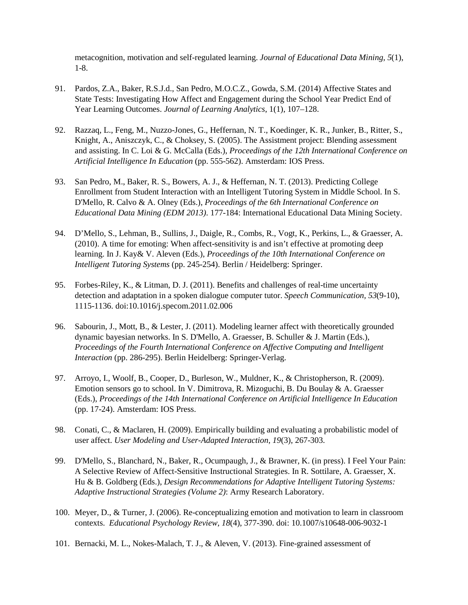metacognition, motivation and self-regulated learning. *Journal of Educational Data Mining, 5*(1), 1-8.

- 91. Pardos, Z.A., Baker, R.S.J.d., San Pedro, M.O.C.Z., Gowda, S.M. (2014) Affective States and State Tests: Investigating How Affect and Engagement during the School Year Predict End of Year Learning Outcomes. *Journal of Learning Analytics*, 1(1), 107–128.
- 92. Razzaq, L., Feng, M., Nuzzo-Jones, G., Heffernan, N. T., Koedinger, K. R., Junker, B., Ritter, S., Knight, A., Aniszczyk, C., & Choksey, S. (2005). The Assistment project: Blending assessment and assisting. In C. Loi & G. McCalla (Eds.), *Proceedings of the 12th International Conference on Artificial Intelligence In Education* (pp. 555-562). Amsterdam: IOS Press.
- 93. San Pedro, M., Baker, R. S., Bowers, A. J., & Heffernan, N. T. (2013). Predicting College Enrollment from Student Interaction with an Intelligent Tutoring System in Middle School. In S. D'Mello, R. Calvo & A. Olney (Eds.), *Proceedings of the 6th International Conference on Educational Data Mining (EDM 2013)*. 177-184: International Educational Data Mining Society.
- 94. D'Mello, S., Lehman, B., Sullins, J., Daigle, R., Combs, R., Vogt, K., Perkins, L., & Graesser, A. (2010). A time for emoting: When affect-sensitivity is and isn't effective at promoting deep learning. In J. Kay& V. Aleven (Eds.), *Proceedings of the 10th International Conference on Intelligent Tutoring Systems* (pp. 245-254). Berlin / Heidelberg: Springer.
- 95. Forbes-Riley, K., & Litman, D. J. (2011). Benefits and challenges of real-time uncertainty detection and adaptation in a spoken dialogue computer tutor. *Speech Communication, 53*(9-10), 1115-1136. doi:10.1016/j.specom.2011.02.006
- 96. Sabourin, J., Mott, B., & Lester, J. (2011). Modeling learner affect with theoretically grounded dynamic bayesian networks. In S. D'Mello, A. Graesser, B. Schuller & J. Martin (Eds.), *Proceedings of the Fourth International Conference on Affective Computing and Intelligent Interaction* (pp. 286-295). Berlin Heidelberg: Springer-Verlag.
- 97. Arroyo, I., Woolf, B., Cooper, D., Burleson, W., Muldner, K., & Christopherson, R. (2009). Emotion sensors go to school. In V. Dimitrova, R. Mizoguchi, B. Du Boulay & A. Graesser (Eds.), *Proceedings of the 14th International Conference on Artificial Intelligence In Education*  (pp. 17-24). Amsterdam: IOS Press.
- 98. Conati, C., & Maclaren, H. (2009). Empirically building and evaluating a probabilistic model of user affect. *User Modeling and User-Adapted Interaction, 19*(3), 267-303.
- 99. D'Mello, S., Blanchard, N., Baker, R., Ocumpaugh, J., & Brawner, K. (in press). I Feel Your Pain: A Selective Review of Affect-Sensitive Instructional Strategies. In R. Sottilare, A. Graesser, X. Hu & B. Goldberg (Eds.), *Design Recommendations for Adaptive Intelligent Tutoring Systems: Adaptive Instructional Strategies (Volume 2)*: Army Research Laboratory.
- 100. Meyer, D., & Turner, J. (2006). Re-conceptualizing emotion and motivation to learn in classroom contexts. *Educational Psychology Review, 18*(4), 377-390. doi: 10.1007/s10648-006-9032-1
- 101. Bernacki, M. L., Nokes-Malach, T. J., & Aleven, V. (2013). Fine-grained assessment of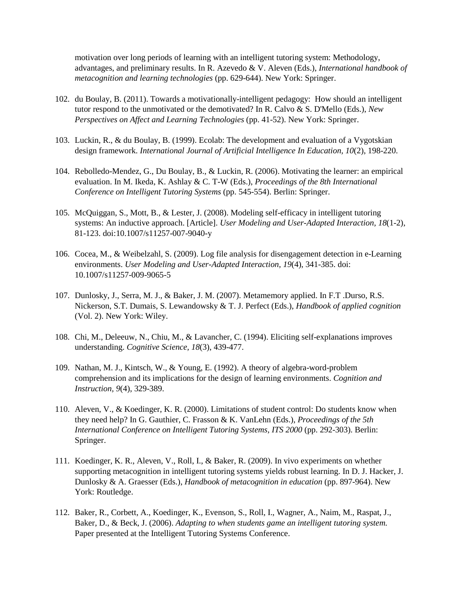motivation over long periods of learning with an intelligent tutoring system: Methodology, advantages, and preliminary results. In R. Azevedo & V. Aleven (Eds.), *International handbook of metacognition and learning technologies* (pp. 629-644). New York: Springer.

- 102. du Boulay, B. (2011). Towards a motivationally-intelligent pedagogy: How should an intelligent tutor respond to the unmotivated or the demotivated? In R. Calvo & S. D'Mello (Eds.), *New Perspectives on Affect and Learning Technologies* (pp. 41-52). New York: Springer.
- 103. Luckin, R., & du Boulay, B. (1999). Ecolab: The development and evaluation of a Vygotskian design framework. *International Journal of Artificial Intelligence In Education, 10*(2), 198-220.
- 104. Rebolledo-Mendez, G., Du Boulay, B., & Luckin, R. (2006). Motivating the learner: an empirical evaluation. In M. Ikeda, K. Ashlay & C. T-W (Eds.), *Proceedings of the 8th International Conference on Intelligent Tutoring Systems* (pp. 545-554). Berlin: Springer.
- 105. McQuiggan, S., Mott, B., & Lester, J. (2008). Modeling self-efficacy in intelligent tutoring systems: An inductive approach. [Article]. *User Modeling and User-Adapted Interaction, 18*(1-2), 81-123. doi:10.1007/s11257-007-9040-y
- 106. Cocea, M., & Weibelzahl, S. (2009). Log file analysis for disengagement detection in e-Learning environments. *User Modeling and User-Adapted Interaction, 19*(4), 341-385. doi: 10.1007/s11257-009-9065-5
- 107. Dunlosky, J., Serra, M. J., & Baker, J. M. (2007). Metamemory applied. In F.T .Durso, R.S. Nickerson, S.T. Dumais, S. Lewandowsky & T. J. Perfect (Eds.), *Handbook of applied cognition* (Vol. 2). New York: Wiley.
- 108. Chi, M., Deleeuw, N., Chiu, M., & Lavancher, C. (1994). Eliciting self-explanations improves understanding. *Cognitive Science, 18*(3), 439-477.
- 109. Nathan, M. J., Kintsch, W., & Young, E. (1992). A theory of algebra-word-problem comprehension and its implications for the design of learning environments. *Cognition and Instruction, 9*(4), 329-389.
- 110. Aleven, V., & Koedinger, K. R. (2000). Limitations of student control: Do students know when they need help? In G. Gauthier, C. Frasson & K. VanLehn (Eds.), *Proceedings of the 5th International Conference on Intelligent Tutoring Systems, ITS 2000* (pp. 292-303). Berlin: Springer.
- 111. Koedinger, K. R., Aleven, V., Roll, I., & Baker, R. (2009). In vivo experiments on whether supporting metacognition in intelligent tutoring systems yields robust learning. In D. J. Hacker, J. Dunlosky & A. Graesser (Eds.), *Handbook of metacognition in education* (pp. 897-964). New York: Routledge.
- 112. Baker, R., Corbett, A., Koedinger, K., Evenson, S., Roll, I., Wagner, A., Naim, M., Raspat, J., Baker, D., & Beck, J. (2006). *Adapting to when students game an intelligent tutoring system.*  Paper presented at the Intelligent Tutoring Systems Conference.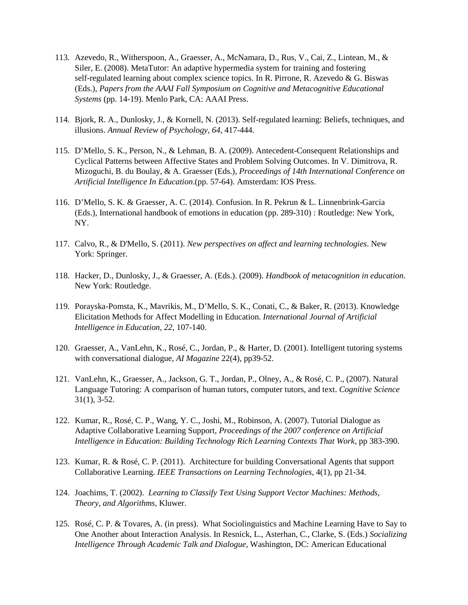- 113. Azevedo, R., Witherspoon, A., Graesser, A., McNamara, D., Rus, V., Cai, Z., Lintean, M., & Siler, E. (2008). MetaTutor: An adaptive hypermedia system for training and fostering self-regulated learning about complex science topics. In R. Pirrone, R. Azevedo & G. Biswas (Eds.), *Papers from the AAAI Fall Symposium on Cognitive and Metacognitive Educational Systems* (pp. 14-19). Menlo Park, CA: AAAI Press.
- 114. Bjork, R. A., Dunlosky, J., & Kornell, N. (2013). Self-regulated learning: Beliefs, techniques, and illusions. *Annual Review of Psychology, 64*, 417-444.
- 115. D'Mello, S. K., Person, N., & Lehman, B. A. (2009). Antecedent-Consequent Relationships and Cyclical Patterns between Affective States and Problem Solving Outcomes. In V. Dimitrova, R. Mizoguchi, B. du Boulay, & A. Graesser (Eds.), *Proceedings of 14th International Conference on Artificial Intelligence In Education*.(pp. 57-64). Amsterdam: IOS Press.
- 116. D'Mello, S. K. & Graesser, A. C. (2014). Confusion. In R. Pekrun & L. Linnenbrink-Garcia (Eds.), International handbook of emotions in education (pp. 289-310) : Routledge: New York, NY.
- 117. Calvo, R., & D'Mello, S. (2011). *New perspectives on affect and learning technologies*. New York: Springer.
- 118. Hacker, D., Dunlosky, J., & Graesser, A. (Eds.). (2009). *Handbook of metacognition in education*. New York: Routledge.
- 119. Porayska-Pomsta, K., Mavrikis, M., D'Mello, S. K., Conati, C., & Baker, R. (2013). Knowledge Elicitation Methods for Affect Modelling in Education. *International Journal of Artificial Intelligence in Education, 22*, 107-140.
- 120. Graesser, A., VanLehn, K., Rosé, C., Jordan, P., & Harter, D. (2001). Intelligent tutoring systems with conversational dialogue, *AI Magazine* 22(4), pp39-52.
- 121. VanLehn, K., Graesser, A., Jackson, G. T., Jordan, P., Olney, A., & Rosé, C. P., (2007). Natural Language Tutoring: A comparison of human tutors, computer tutors, and text. *Cognitive Science* 31(1), 3-52.
- 122. Kumar, R., Rosé, C. P., Wang, Y. C., Joshi, M., Robinson, A. (2007). Tutorial Dialogue as Adaptive Collaborative Learning Support, *Proceedings of the 2007 conference on Artificial*  Intelligence in Education: Building Technology Rich Learning Contexts That Work, pp 383-390.
- 123. Kumar, R. & Rosé, C. P. (2011). Architecture for building Conversational Agents that support Collaborative Learning. *IEEE Transactions on Learning Technologies,* 4(1), pp 21-34.
- 124. Joachims, T. (2002). *Learning to Classify Text Using Support Vector Machines: Methods, Theory, and Algorithms,* Kluwer.
- 125. Rosé, C. P. & Tovares, A. (in press). What Sociolinguistics and Machine Learning Have to Say to One Another about Interaction Analysis. In Resnick, L., Asterhan, C., Clarke, S. (Eds.) *Socializing Intelligence Through Academic Talk and Dialogue,* Washington, DC: American Educational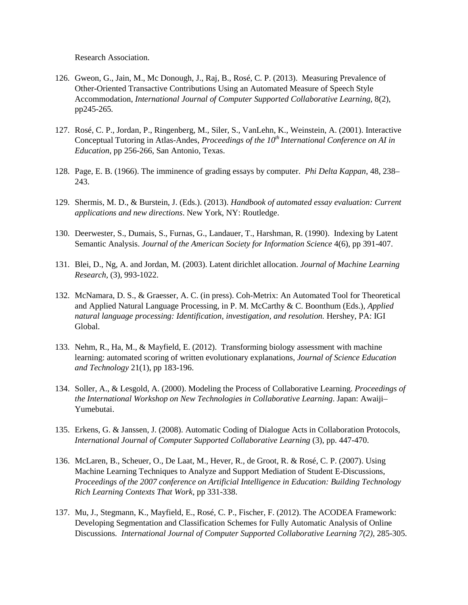Research Association.

- 126. Gweon, G., Jain, M., Mc Donough, J., Raj, B., Rosé, C. P. (2013). Measuring Prevalence of Other-Oriented Transactive Contributions Using an Automated Measure of Speech Style Accommodation, *International Journal of Computer Supported Collaborative Learning*, 8(2), pp245-265*.*
- 127. Rosé, C. P., Jordan, P., Ringenberg, M., Siler, S., VanLehn, K., Weinstein, A. (2001). Interactive Conceptual Tutoring in Atlas-Andes, *Proceedings of the 10<sup>th</sup> International Conference on AI in Education*, pp 256-266, San Antonio, Texas.
- 128. Page, E. B. (1966). The imminence of grading essays by computer. *Phi Delta Kappan*, 48, 238– 243.
- 129. Shermis, M. D., & Burstein, J. (Eds.). (2013). *Handbook of automated essay evaluation: Current applications and new directions*. New York, NY: Routledge.
- 130. Deerwester, S., Dumais, S., Furnas, G., Landauer, T., Harshman, R. (1990). Indexing by Latent Semantic Analysis. *Journal of the American Society for Information Science* 4(6), pp 391-407.
- 131. Blei, D., Ng, A. and Jordan, M. (2003). Latent dirichlet allocation. *Journal of Machine Learning Research,* (3), 993-1022.
- 132. McNamara, D. S., & Graesser, A. C. (in press). Coh-Metrix: An Automated Tool for Theoretical and Applied Natural Language Processing, in P. M. McCarthy & C. Boonthum (Eds.), *Applied natural language processing: Identification, investigation, and resolution. Hershey, PA: IGI* Global.
- 133. Nehm, R., Ha, M., & Mayfield, E. (2012). Transforming biology assessment with machine learning: automated scoring of written evolutionary explanations, *Journal of Science Education and Technology* 21(1), pp 183-196.
- 134. Soller, A., & Lesgold, A. (2000). Modeling the Process of Collaborative Learning. *Proceedings of the International Workshop on New Technologies in Collaborative Learning*. Japan: Awaiji– Yumebutai.
- 135. Erkens, G. & Janssen, J. (2008). Automatic Coding of Dialogue Acts in Collaboration Protocols, *International Journal of Computer Supported Collaborative Learning* (3), pp. 447-470.
- 136. McLaren, B., Scheuer, O., De Laat, M., Hever, R., de Groot, R. & Rosé, C. P. (2007). Using Machine Learning Techniques to Analyze and Support Mediation of Student E-Discussions, *Proceedings of the 2007 conference on Artificial Intelligence in Education: Building Technology Rich Learning Contexts That Work,* pp 331-338.
- 137. Mu, J., Stegmann, K., Mayfield, E., Rosé, C. P., Fischer, F. (2012). The ACODEA Framework: Developing Segmentation and Classification Schemes for Fully Automatic Analysis of Online Discussions. *International Journal of Computer Supported Collaborative Learning 7(2), 285-305.*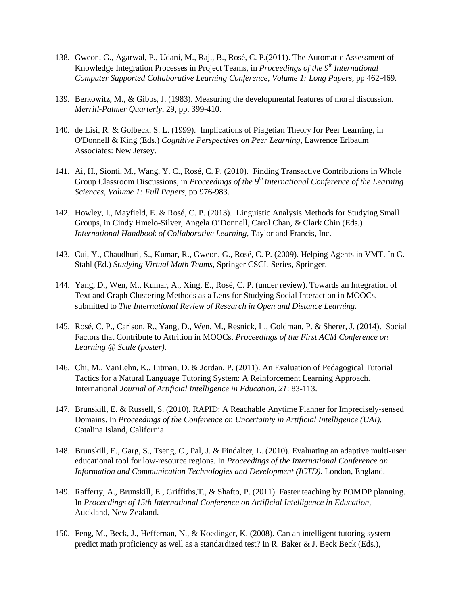- 138. Gweon, G., Agarwal, P., Udani, M., Raj., B., Rosé, C. P.(2011). The Automatic Assessment of Knowledge Integration Processes in Project Teams, in *Proceedings of the 9<sup>th</sup> International Computer Supported Collaborative Learning Conference, Volume 1: Long Papers,* pp 462-469.
- 139. Berkowitz, M., & Gibbs, J. (1983). Measuring the developmental features of moral discussion. *Merrill-Palmer Quarterly*, 29, pp. 399-410.
- 140. de Lisi, R. & Golbeck, S. L. (1999). Implications of Piagetian Theory for Peer Learning, in O'Donnell & King (Eds.) *Cognitive Perspectives on Peer Learning*, Lawrence Erlbaum Associates: New Jersey.
- 141. Ai, H., Sionti, M., Wang, Y. C., Rosé, C. P. (2010). Finding Transactive Contributions in Whole Group Classroom Discussions, in *Proceedings of the 9<sup>th</sup> International Conference of the Learning Sciences, Volume 1: Full Papers,* pp 976-983.
- 142. Howley, I., Mayfield, E. & Rosé, C. P. (2013). Linguistic Analysis Methods for Studying Small Groups, in Cindy Hmelo-Silver, Angela O'Donnell, Carol Chan, & Clark Chin (Eds.) *International Handbook of Collaborative Learning*, Taylor and Francis, Inc.
- 143. Cui, Y., Chaudhuri, S., Kumar, R., Gweon, G., Rosé, C. P. (2009). Helping Agents in VMT. In G. Stahl (Ed.) *Studying Virtual Math Teams*, Springer CSCL Series, Springer.
- 144. Yang, D., Wen, M., Kumar, A., Xing, E., Rosé, C. P. (under review). Towards an Integration of Text and Graph Clustering Methods as a Lens for Studying Social Interaction in MOOCs, submitted to *The International Review of Research in Open and Distance Learning.*
- 145. Rosé, C. P., Carlson, R., Yang, D., Wen, M., Resnick, L., Goldman, P. & Sherer, J. (2014). Social Factors that Contribute to Attrition in MOOCs. *Proceedings of the First ACM Conference on Learning @ Scale (poster).*
- 146. Chi, M., VanLehn, K., Litman, D. & Jordan, P. (2011). An Evaluation of Pedagogical Tutorial Tactics for a Natural Language Tutoring System: A Reinforcement Learning Approach. International *Journal of Artificial Intelligence in Education, 21*: 83-113.
- 147. Brunskill, E. & Russell, S. (2010). RAPID: A Reachable Anytime Planner for Imprecisely-sensed Domains. In *Proceedings of the Conference on Uncertainty in Artificial Intelligence (UAI)*. Catalina Island, California.
- 148. Brunskill, E., Garg, S., Tseng, C., Pal, J. & Findalter, L. (2010). Evaluating an adaptive multi-user educational tool for low-resource regions. In *Proceedings of the International Conference on Information and Communication Technologies and Development (ICTD)*. London, England.
- 149. Rafferty, A., Brunskill, E., Griffiths,T., & Shafto, P. (2011). Faster teaching by POMDP planning. In *Proceedings of 15th International Conference on Artificial Intelligence in Education*, Auckland, New Zealand.
- 150. Feng, M., Beck, J., Heffernan, N., & Koedinger, K. (2008). Can an intelligent tutoring system predict math proficiency as well as a standardized test? In R. Baker & J. Beck Beck (Eds.),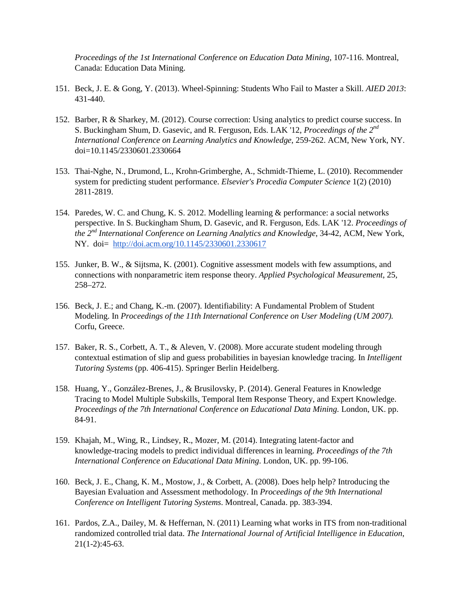*Proceedings of the 1st International Conference on Education Data Mining*, 107-116. Montreal, Canada: Education Data Mining.

- 151. Beck, J. E. & Gong, Y. (2013). Wheel-Spinning: Students Who Fail to Master a Skill. *AIED 2013*: 431-440.
- 152. Barber, R & Sharkey, M. (2012). Course correction: Using analytics to predict course success. In S. Buckingham Shum, D. Gasevic, and R. Ferguson, Eds. LAK '12, *Proceedings of the 2nd International Conference on Learning Analytics and Knowledge*, 259-262. ACM, New York, NY. doi=10.1145/2330601.2330664
- 153. Thai-Nghe, N., Drumond, L., Krohn-Grimberghe, A., Schmidt-Thieme, L. (2010). Recommender system for predicting student performance. *Elsevier's Procedia Computer Science* 1(2) (2010) 2811-2819.
- 154. Paredes, W. C. and Chung, K. S. 2012. Modelling learning & performance: a social networks perspective. In S. Buckingham Shum, D. Gasevic, and R. Ferguson, Eds. LAK '12. *Proceedings of the 2nd International Conference on Learning Analytics and Knowledge*, 34-42, ACM, New York, NY. doi= [http://doi.acm.org/10.1145/2330601.2330617](http://www.google.com/url?q=http%3A%2F%2Fdoi.acm.org%2F10.1145%2F2330601.2330617&sa=D&sntz=1&usg=AFQjCNFCN5V_8guBMqsnmL4JresCcFw5Tg)
- 155. Junker, B. W., & Sijtsma, K. (2001). Cognitive assessment models with few assumptions, and connections with nonparametric item response theory. *Applied Psychological Measurement*, 25, 258–272.
- 156. Beck, J. E.; and Chang, K.-m. (2007). Identifiability: A Fundamental Problem of Student Modeling. In *Proceedings of the 11th International Conference on User Modeling (UM 2007).*  Corfu, Greece.
- 157. Baker, R. S., Corbett, A. T., & Aleven, V. (2008). More accurate student modeling through contextual estimation of slip and guess probabilities in bayesian knowledge tracing. In *Intelligent Tutoring Systems* (pp. 406-415). Springer Berlin Heidelberg.
- 158. Huang, Y., González-Brenes, J., & Brusilovsky, P. (2014). General Features in Knowledge Tracing to Model Multiple Subskills, Temporal Item Response Theory, and Expert Knowledge. *Proceedings of the 7th International Conference on Educational Data Mining.* London, UK. pp. 84-91.
- 159. Khajah, M., Wing, R., Lindsey, R., Mozer, M. (2014). Integrating latent-factor and knowledge-tracing models to predict individual differences in learning. *Proceedings of the 7th International Conference on Educational Data Mining*. London, UK. pp. 99-106.
- 160. Beck, J. E., Chang, K. M., Mostow, J., & Corbett, A. (2008). Does help help? Introducing the Bayesian Evaluation and Assessment methodology. In *Proceedings of the 9th International Conference on Intelligent Tutoring Systems*. Montreal, Canada. pp. 383-394.
- 161. Pardos, Z.A., Dailey, M. & Heffernan, N. (2011) Learning what works in ITS from non-traditional randomized controlled trial data. *The International Journal of Artificial Intelligence in Education*, 21(1-2):45-63.